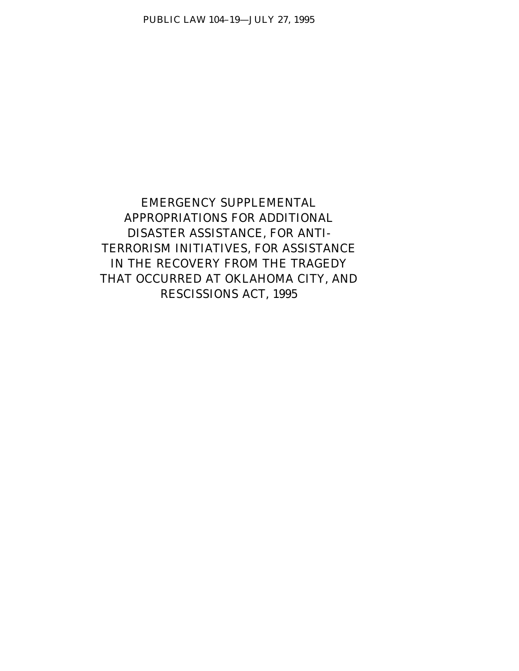EMERGENCY SUPPLEMENTAL APPROPRIATIONS FOR ADDITIONAL DISASTER ASSISTANCE, FOR ANTI-TERRORISM INITIATIVES, FOR ASSISTANCE IN THE RECOVERY FROM THE TRAGEDY THAT OCCURRED AT OKLAHOMA CITY, AND RESCISSIONS ACT, 1995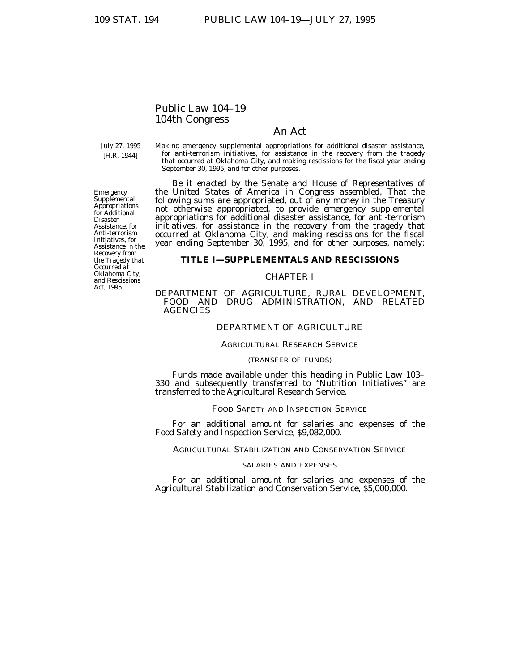# Public Law 104–19 104th Congress

# An Act

July 27, 1995 [H.R. 1944]

Making emergency supplemental appropriations for additional disaster assistance, for anti-terrorism initiatives, for assistance in the recovery from the tragedy that occurred at Oklahoma City, and making rescissions for the fiscal year ending September 30, 1995, and for other purposes.

*Be it enacted by the Senate and House of Representatives of the United States of America in Congress assembled,* That the following sums are appropriated, out of any money in the Treasury not otherwise appropriated, to provide emergency supplemental appropriations for additional disaster assistance, for anti-terrorism initiatives, for assistance in the recovery from the tragedy that occurred at Oklahoma City, and making rescissions for the fiscal year ending September 30, 1995, and for other purposes, namely:

#### **TITLE I—SUPPLEMENTALS AND RESCISSIONS**

### CHAPTER I

DEPARTMENT OF AGRICULTURE, RURAL DEVELOPMENT, FOOD AND DRUG ADMINISTRATION, AND RELATED **AGENCIES** 

# DEPARTMENT OF AGRICULTURE

# AGRICULTURAL RESEARCH SERVICE

#### (TRANSFER OF FUNDS)

Funds made available under this heading in Public Law 103– 330 and subsequently transferred to ''Nutrition Initiatives'' are transferred to the Agricultural Research Service.

# FOOD SAFETY AND INSPECTION SERVICE

For an additional amount for salaries and expenses of the Food Safety and Inspection Service, \$9,082,000.

# AGRICULTURAL STABILIZATION AND CONSERVATION SERVICE

### SALARIES AND EXPENSES

For an additional amount for salaries and expenses of the Agricultural Stabilization and Conservation Service, \$5,000,000.

Emergency Supplemental Appropriations for Additional Disaster Assistance, for Anti-terrorism Initiatives, for Assistance in the Recovery from the Tragedy that Occurred at Oklahoma City, and Rescissions Act, 1995.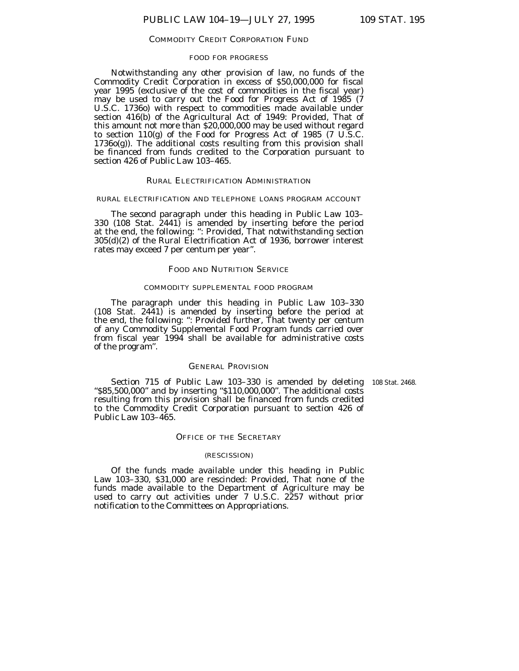#### COMMODITY CREDIT CORPORATION FUND

#### FOOD FOR PROGRESS

Notwithstanding any other provision of law, no funds of the Commodity Credit Corporation in excess of \$50,000,000 for fiscal year 1995 (exclusive of the cost of commodities in the fiscal year) may be used to carry out the Food for Progress Act of 1985 (7 U.S.C. 1736o) with respect to commodities made available under section 416(b) of the Agricultural Act of 1949: *Provided,* That of this amount not more than \$20,000,000 may be used without regard to section 110(g) of the Food for Progress Act of 1985 (7 U.S.C. 1736o(g)). The additional costs resulting from this provision shall be financed from funds credited to the Corporation pursuant to section 426 of Public Law 103–465.

# RURAL ELECTRIFICATION ADMINISTRATION

#### RURAL ELECTRIFICATION AND TELEPHONE LOANS PROGRAM ACCOUNT

The second paragraph under this heading in Public Law 103– 330 (108 Stat. 2441) is amended by inserting before the period at the end, the following: '': *Provided,* That notwithstanding section 305(d)(2) of the Rural Electrification Act of 1936, borrower interest rates may exceed 7 per centum per year''.

#### FOOD AND NUTRITION SERVICE

#### COMMODITY SUPPLEMENTAL FOOD PROGRAM

The paragraph under this heading in Public Law 103–330 (108 Stat. 2441) is amended by inserting before the period at the end, the following: '': *Provided further,* That twenty per centum of any Commodity Supplemental Food Program funds carried over from fiscal year 1994 shall be available for administrative costs of the program''.

#### GENERAL PROVISION

Section 715 of Public Law 103–330 is amended by deleting 108 Stat. 2468.''\$85,500,000'' and by inserting ''\$110,000,000''. The additional costs resulting from this provision shall be financed from funds credited to the Commodity Credit Corporation pursuant to section 426 of Public Law 103–465.

# OFFICE OF THE SECRETARY

#### (RESCISSION)

Of the funds made available under this heading in Public Law 103–330, \$31,000 are rescinded: *Provided,* That none of the funds made available to the Department of Agriculture may be used to carry out activities under 7 U.S.C. 2257 without prior notification to the Committees on Appropriations.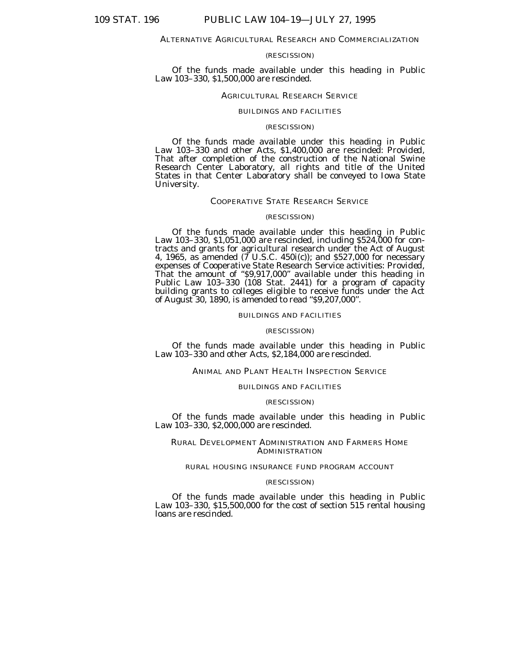#### ALTERNATIVE AGRICULTURAL RESEARCH AND COMMERCIALIZATION

#### (RESCISSION)

Of the funds made available under this heading in Public Law 103–330, \$1,500,000 are rescinded.

#### AGRICULTURAL RESEARCH SERVICE

#### BUILDINGS AND FACILITIES

#### (RESCISSION)

Of the funds made available under this heading in Public Law 103–330 and other Acts, \$1,400,000 are rescinded: *Provided,* That after completion of the construction of the National Swine Research Center Laboratory, all rights and title of the United States in that Center Laboratory shall be conveyed to Iowa State University.

### COOPERATIVE STATE RESEARCH SERVICE

#### (RESCISSION)

Of the funds made available under this heading in Public Law 103–330, \$1,051,000 are rescinded, including \$524,000 for contracts and grants for agricultural research under the Act of August 4, 1965, as amended (7 U.S.C. 450i(c)); and \$527,000 for necessary expenses of Cooperative State Research Service activities: *Provided,* That the amount of ''\$9,917,000'' available under this heading in Public Law 103–330 (108 Stat. 2441) for a program of capacity building grants to colleges eligible to receive funds under the Act of August 30, 1890, is amended to read ''\$9,207,000''.

#### BUILDINGS AND FACILITIES

#### (RESCISSION)

Of the funds made available under this heading in Public Law 103–330 and other Acts, \$2,184,000 are rescinded.

#### ANIMAL AND PLANT HEALTH INSPECTION SERVICE

#### BUILDINGS AND FACILITIES

#### (RESCISSION)

Of the funds made available under this heading in Public Law 103–330, \$2,000,000 are rescinded.

#### RURAL DEVELOPMENT ADMINISTRATION AND FARMERS HOME **ADMINISTRATION**

#### RURAL HOUSING INSURANCE FUND PROGRAM ACCOUNT

#### (RESCISSION)

Of the funds made available under this heading in Public Law 103–330, \$15,500,000 for the cost of section 515 rental housing loans are rescinded.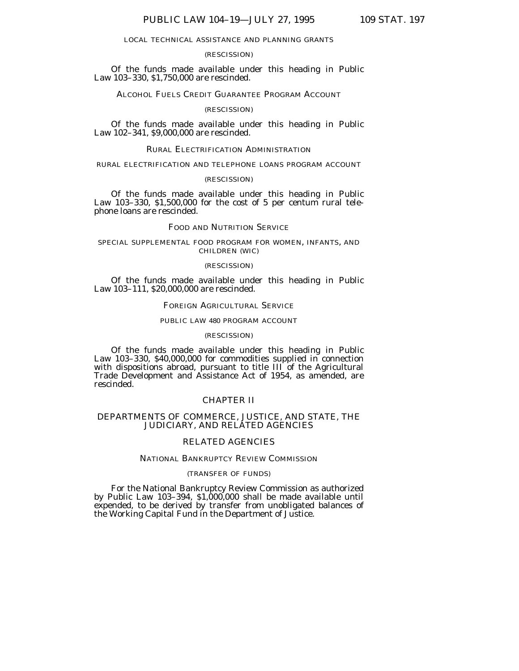# LOCAL TECHNICAL ASSISTANCE AND PLANNING GRANTS

### (RESCISSION)

Of the funds made available under this heading in Public Law 103–330, \$1,750,000 are rescinded.

# ALCOHOL FUELS CREDIT GUARANTEE PROGRAM ACCOUNT

#### (RESCISSION)

Of the funds made available under this heading in Public Law 102–341, \$9,000,000 are rescinded.

#### RURAL ELECTRIFICATION ADMINISTRATION

#### RURAL ELECTRIFICATION AND TELEPHONE LOANS PROGRAM ACCOUNT

#### (RESCISSION)

Of the funds made available under this heading in Public Law 103–330, \$1,500,000 for the cost of 5 per centum rural telephone loans are rescinded.

# FOOD AND NUTRITION SERVICE

### SPECIAL SUPPLEMENTAL FOOD PROGRAM FOR WOMEN, INFANTS, AND CHILDREN (WIC)

#### (RESCISSION)

Of the funds made available under this heading in Public Law 103–111, \$20,000,000 are rescinded.

#### FOREIGN AGRICULTURAL SERVICE

### PUBLIC LAW 480 PROGRAM ACCOUNT

### (RESCISSION)

Of the funds made available under this heading in Public Law 103–330, \$40,000,000 for commodities supplied in connection with dispositions abroad, pursuant to title III of the Agricultural Trade Development and Assistance Act of 1954, as amended, are rescinded.

# CHAPTER II

# DEPARTMENTS OF COMMERCE, JUSTICE, AND STATE, THE JUDICIARY, AND RELATED AGENCIES

# RELATED AGENCIES

#### NATIONAL BANKRUPTCY REVIEW COMMISSION

### (TRANSFER OF FUNDS)

For the National Bankruptcy Review Commission as authorized by Public Law 103–394, \$1,000,000 shall be made available until expended, to be derived by transfer from unobligated balances of the Working Capital Fund in the Department of Justice.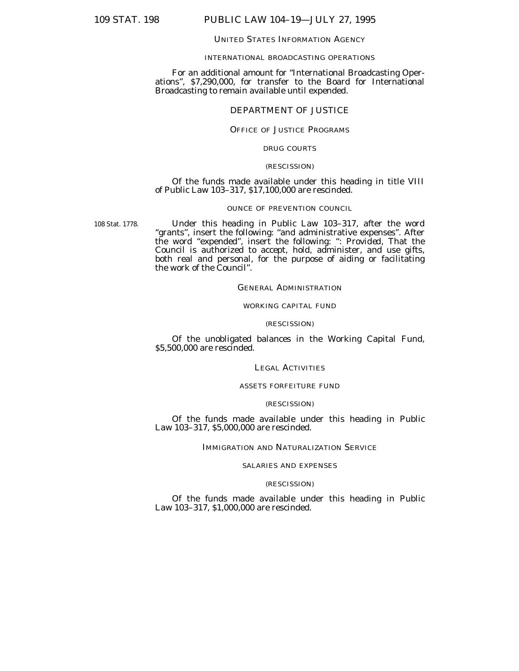# 109 STAT. 198 PUBLIC LAW 104–19—JULY 27, 1995

# UNITED STATES INFORMATION AGENCY

#### INTERNATIONAL BROADCASTING OPERATIONS

For an additional amount for ''International Broadcasting Operations'', \$7,290,000, for transfer to the Board for International Broadcasting to remain available until expended.

# DEPARTMENT OF JUSTICE

# OFFICE OF JUSTICE PROGRAMS

# DRUG COURTS

#### (RESCISSION)

Of the funds made available under this heading in title VIII of Public Law 103–317, \$17,100,000 are rescinded.

### OUNCE OF PREVENTION COUNCIL

108 Stat. 1778.

Under this heading in Public Law 103–317, after the word "grants", insert the following: "and administrative expenses". After the word ''expended'', insert the following: '': *Provided,* That the Council is authorized to accept, hold, administer, and use gifts, both real and personal, for the purpose of aiding or facilitating the work of the Council''.

# GENERAL ADMINISTRATION

# WORKING CAPITAL FUND

#### (RESCISSION)

Of the unobligated balances in the Working Capital Fund, \$5,500,000 are rescinded.

# LEGAL ACTIVITIES

#### ASSETS FORFEITURE FUND

#### (RESCISSION)

Of the funds made available under this heading in Public Law 103–317, \$5,000,000 are rescinded.

# IMMIGRATION AND NATURALIZATION SERVICE

# SALARIES AND EXPENSES

### (RESCISSION)

Of the funds made available under this heading in Public Law 103–317, \$1,000,000 are rescinded.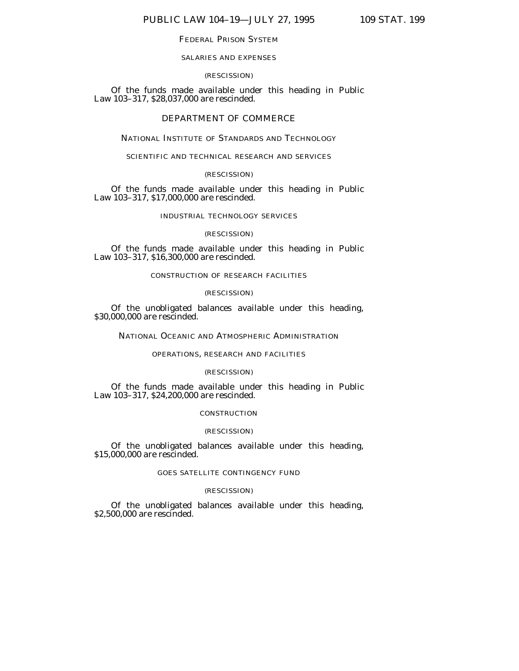# FEDERAL PRISON SYSTEM

### SALARIES AND EXPENSES

(RESCISSION)

Of the funds made available under this heading in Public Law 103–317, \$28,037,000 are rescinded.

# DEPARTMENT OF COMMERCE

# NATIONAL INSTITUTE OF STANDARDS AND TECHNOLOGY

#### SCIENTIFIC AND TECHNICAL RESEARCH AND SERVICES

#### (RESCISSION)

Of the funds made available under this heading in Public Law 103–317, \$17,000,000 are rescinded.

# INDUSTRIAL TECHNOLOGY SERVICES

### (RESCISSION)

Of the funds made available under this heading in Public Law 103–317, \$16,300,000 are rescinded.

### CONSTRUCTION OF RESEARCH FACILITIES

#### (RESCISSION)

Of the unobligated balances available under this heading, \$30,000,000 are rescinded.

NATIONAL OCEANIC AND ATMOSPHERIC ADMINISTRATION

# OPERATIONS, RESEARCH AND FACILITIES

# (RESCISSION)

Of the funds made available under this heading in Public Law 103–317, \$24,200,000 are rescinded.

#### **CONSTRUCTION**

#### (RESCISSION)

Of the unobligated balances available under this heading, \$15,000,000 are rescinded.

# GOES SATELLITE CONTINGENCY FUND

# (RESCISSION)

Of the unobligated balances available under this heading, \$2,500,000 are rescinded.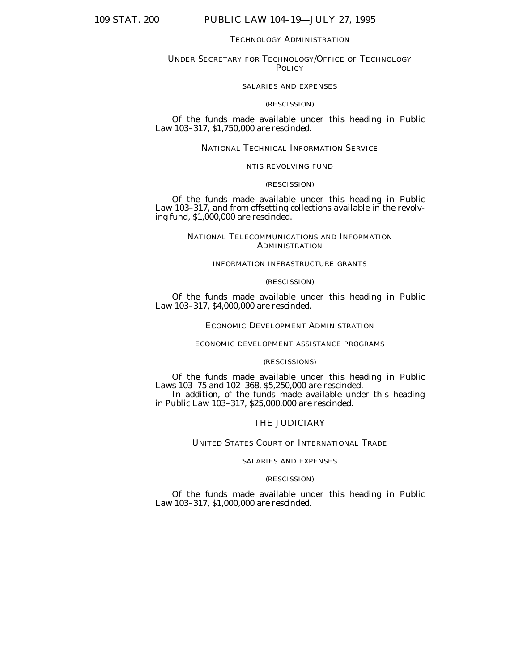# 109 STAT. 200 PUBLIC LAW 104–19—JULY 27, 1995

# TECHNOLOGY ADMINISTRATION

UNDER SECRETARY FOR TECHNOLOGY/OFFICE OF TECHNOLOGY **POLICY** 

# SALARIES AND EXPENSES

#### (RESCISSION)

Of the funds made available under this heading in Public Law 103–317, \$1,750,000 are rescinded.

# NATIONAL TECHNICAL INFORMATION SERVICE

# NTIS REVOLVING FUND

#### (RESCISSION)

Of the funds made available under this heading in Public Law 103–317, and from offsetting collections available in the revolving fund, \$1,000,000 are rescinded.

# NATIONAL TELECOMMUNICATIONS AND INFORMATION **ADMINISTRATION**

#### INFORMATION INFRASTRUCTURE GRANTS

#### (RESCISSION)

Of the funds made available under this heading in Public Law 103–317, \$4,000,000 are rescinded.

# ECONOMIC DEVELOPMENT ADMINISTRATION

#### ECONOMIC DEVELOPMENT ASSISTANCE PROGRAMS

#### (RESCISSIONS)

Of the funds made available under this heading in Public Laws 103–75 and 102–368, \$5,250,000 are rescinded. In addition, of the funds made available under this heading in Public Law 103–317, \$25,000,000 are rescinded.

# THE JUDICIARY

# UNITED STATES COURT OF INTERNATIONAL TRADE

# SALARIES AND EXPENSES

# (RESCISSION)

Of the funds made available under this heading in Public Law 103–317, \$1,000,000 are rescinded.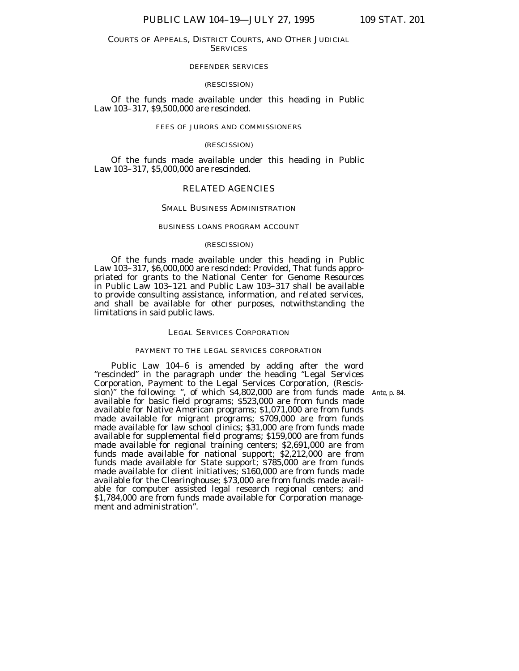### COURTS OF APPEALS, DISTRICT COURTS, AND OTHER JUDICIAL **SERVICES**

#### DEFENDER SERVICES

#### (RESCISSION)

Of the funds made available under this heading in Public Law 103–317, \$9,500,000 are rescinded.

#### FEES OF JURORS AND COMMISSIONERS

### (RESCISSION)

Of the funds made available under this heading in Public Law 103–317, \$5,000,000 are rescinded.

# RELATED AGENCIES

# SMALL BUSINESS ADMINISTRATION

#### BUSINESS LOANS PROGRAM ACCOUNT

#### (RESCISSION)

Of the funds made available under this heading in Public Law 103–317, \$6,000,000 are rescinded: *Provided,* That funds appropriated for grants to the National Center for Genome Resources in Public Law 103–121 and Public Law 103–317 shall be available to provide consulting assistance, information, and related services, and shall be available for other purposes, notwithstanding the limitations in said public laws.

#### LEGAL SERVICES CORPORATION

#### PAYMENT TO THE LEGAL SERVICES CORPORATION

Public Law 104–6 is amended by adding after the word

"rescinded" in the paragraph under the heading "Legal Services

*Ante,* p. 84.

Corporation, Payment to the Legal Services Corporation, (Rescission)'' the following: '', of which \$4,802,000 are from funds made available for basic field programs; \$523,000 are from funds made available for Native American programs; \$1,071,000 are from funds made available for migrant programs; \$709,000 are from funds made available for law school clinics; \$31,000 are from funds made available for supplemental field programs; \$159,000 are from funds made available for regional training centers; \$2,691,000 are from funds made available for national support; \$2,212,000 are from funds made available for State support; \$785,000 are from funds made available for client initiatives; \$160,000 are from funds made available for the Clearinghouse; \$73,000 are from funds made available for computer assisted legal research regional centers; and \$1,784,000 are from funds made available for Corporation management and administration''.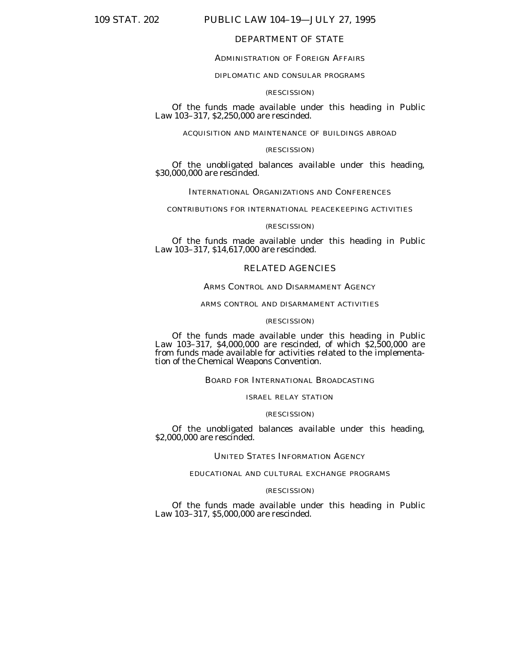# 109 STAT. 202 PUBLIC LAW 104–19—JULY 27, 1995

# DEPARTMENT OF STATE

# ADMINISTRATION OF FOREIGN AFFAIRS

#### DIPLOMATIC AND CONSULAR PROGRAMS

# (RESCISSION)

Of the funds made available under this heading in Public Law 103–317, \$2,250,000 are rescinded.

ACQUISITION AND MAINTENANCE OF BUILDINGS ABROAD

### (RESCISSION)

Of the unobligated balances available under this heading, \$30,000,000 are rescinded.

INTERNATIONAL ORGANIZATIONS AND CONFERENCES

CONTRIBUTIONS FOR INTERNATIONAL PEACEKEEPING ACTIVITIES

#### (RESCISSION)

Of the funds made available under this heading in Public Law 103–317, \$14,617,000 are rescinded.

# RELATED AGENCIES

# ARMS CONTROL AND DISARMAMENT AGENCY

# ARMS CONTROL AND DISARMAMENT ACTIVITIES

# (RESCISSION)

Of the funds made available under this heading in Public Law 103–317, \$4,000,000 are rescinded, of which \$2,500,000 are from funds made available for activities related to the implementation of the Chemical Weapons Convention.

# BOARD FOR INTERNATIONAL BROADCASTING

### ISRAEL RELAY STATION

# (RESCISSION)

Of the unobligated balances available under this heading, \$2,000,000 are rescinded.

# UNITED STATES INFORMATION AGENCY

#### EDUCATIONAL AND CULTURAL EXCHANGE PROGRAMS

#### (RESCISSION)

Of the funds made available under this heading in Public Law 103–317, \$5,000,000 are rescinded.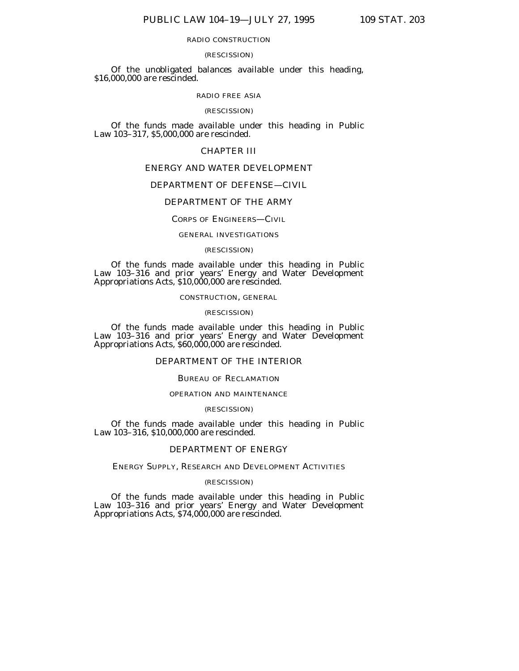# RADIO CONSTRUCTION

#### (RESCISSION)

Of the unobligated balances available under this heading, \$16,000,000 are rescinded.

#### RADIO FREE ASIA

(RESCISSION)

Of the funds made available under this heading in Public Law 103–317, \$5,000,000 are rescinded.

# CHAPTER III

# ENERGY AND WATER DEVELOPMENT

# DEPARTMENT OF DEFENSE—CIVIL

# DEPARTMENT OF THE ARMY

### CORPS OF ENGINEERS—CIVIL

#### GENERAL INVESTIGATIONS

#### (RESCISSION)

Of the funds made available under this heading in Public Law 103–316 and prior years' Energy and Water Development Appropriations Acts, \$10,000,000 are rescinded.

# CONSTRUCTION, GENERAL

#### (RESCISSION)

Of the funds made available under this heading in Public Law 103–316 and prior years' Energy and Water Development Appropriations Acts, \$60,000,000 are rescinded.

# DEPARTMENT OF THE INTERIOR

# BUREAU OF RECLAMATION

# OPERATION AND MAINTENANCE

# (RESCISSION)

Of the funds made available under this heading in Public Law 103–316, \$10,000,000 are rescinded.

# DEPARTMENT OF ENERGY

# ENERGY SUPPLY, RESEARCH AND DEVELOPMENT ACTIVITIES

#### (RESCISSION)

Of the funds made available under this heading in Public Law 103–316 and prior years' Energy and Water Development Appropriations Acts, \$74,000,000 are rescinded.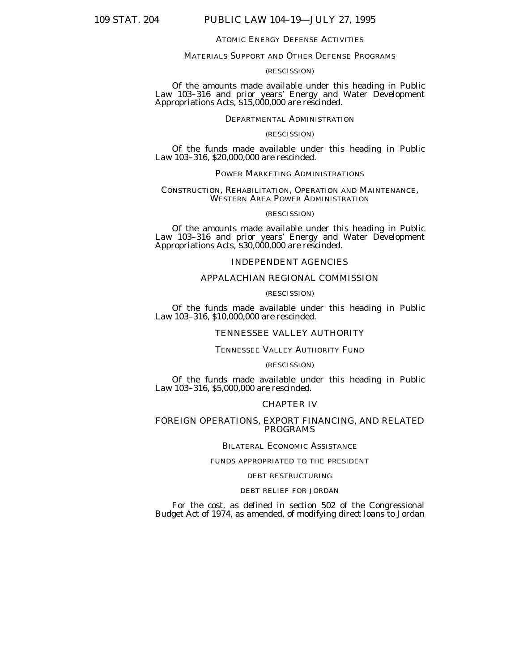# 109 STAT. 204 PUBLIC LAW 104–19—JULY 27, 1995

### ATOMIC ENERGY DEFENSE ACTIVITIES

# MATERIALS SUPPORT AND OTHER DEFENSE PROGRAMS

# (RESCISSION)

Of the amounts made available under this heading in Public Law 103–316 and prior years' Energy and Water Development Appropriations Acts, \$15,000,000 are rescinded.

### DEPARTMENTAL ADMINISTRATION

# (RESCISSION)

Of the funds made available under this heading in Public Law 103–316, \$20,000,000 are rescinded.

# POWER MARKETING ADMINISTRATIONS

# CONSTRUCTION, REHABILITATION, OPERATION AND MAINTENANCE, WESTERN AREA POWER ADMINISTRATION

### (RESCISSION)

Of the amounts made available under this heading in Public Law 103–316 and prior years' Energy and Water Development Appropriations Acts, \$30,000,000 are rescinded.

# INDEPENDENT AGENCIES

# APPALACHIAN REGIONAL COMMISSION

#### (RESCISSION)

Of the funds made available under this heading in Public Law 103–316, \$10,000,000 are rescinded.

#### TENNESSEE VALLEY AUTHORITY

# TENNESSEE VALLEY AUTHORITY FUND

#### (RESCISSION)

Of the funds made available under this heading in Public Law 103–316, \$5,000,000 are rescinded.

# CHAPTER IV

# FOREIGN OPERATIONS, EXPORT FINANCING, AND RELATED PROGRAMS

#### BILATERAL ECONOMIC ASSISTANCE

# FUNDS APPROPRIATED TO THE PRESIDENT

#### DEBT RESTRUCTURING

#### DEBT RELIEF FOR JORDAN

For the cost, as defined in section 502 of the Congressional Budget Act of 1974, as amended, of modifying direct loans to Jordan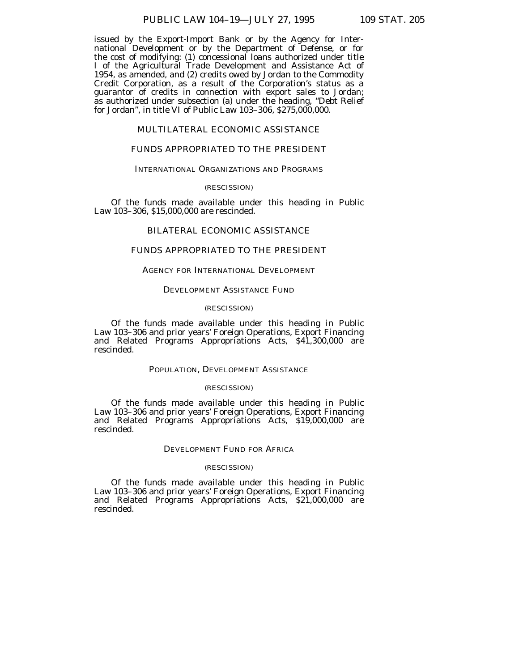issued by the Export-Import Bank or by the Agency for International Development or by the Department of Defense, or for the cost of modifying: (1) concessional loans authorized under title I of the Agricultural Trade Development and Assistance Act of 1954, as amended, and (2) credits owed by Jordan to the Commodity Credit Corporation, as a result of the Corporation's status as a guarantor of credits in connection with export sales to Jordan; as authorized under subsection (a) under the heading, "Debt Relief for Jordan'', in title VI of Public Law 103–306, \$275,000,000.

# MULTILATERAL ECONOMIC ASSISTANCE

# FUNDS APPROPRIATED TO THE PRESIDENT

# INTERNATIONAL ORGANIZATIONS AND PROGRAMS

#### (RESCISSION)

Of the funds made available under this heading in Public Law 103–306, \$15,000,000 are rescinded.

# BILATERAL ECONOMIC ASSISTANCE

# FUNDS APPROPRIATED TO THE PRESIDENT

# AGENCY FOR INTERNATIONAL DEVELOPMENT

### DEVELOPMENT ASSISTANCE FUND

#### (RESCISSION)

Of the funds made available under this heading in Public Law 103–306 and prior years' Foreign Operations, Export Financing and Related Programs Appropriations Acts, \$41,300,000 are rescinded.

### POPULATION, DEVELOPMENT ASSISTANCE

#### (RESCISSION)

Of the funds made available under this heading in Public Law 103–306 and prior years' Foreign Operations, Export Financing and Related Programs Appropriations Acts, \$19,000,000 are rescinded.

### DEVELOPMENT FUND FOR AFRICA

#### (RESCISSION)

Of the funds made available under this heading in Public Law 103–306 and prior years' Foreign Operations, Export Financing and Related Programs Appropriations Acts, \$21,000,000 are rescinded.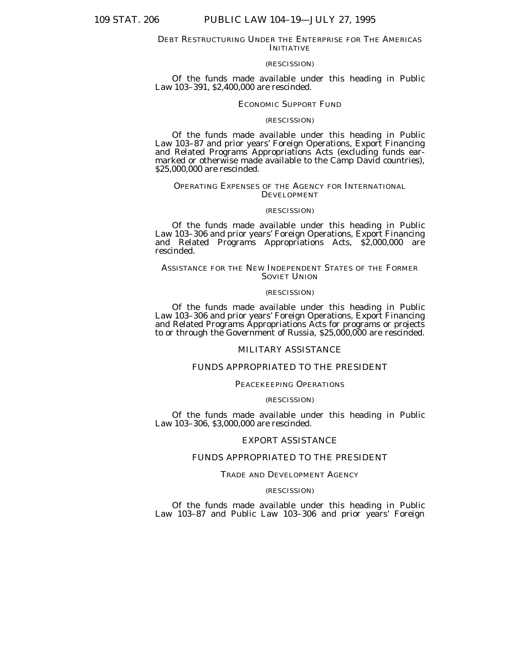### DEBT RESTRUCTURING UNDER THE ENTERPRISE FOR THE AMERICAS INITIATIVE

#### (RESCISSION)

Of the funds made available under this heading in Public Law 103–391, \$2,400,000 are rescinded.

#### ECONOMIC SUPPORT FUND

#### (RESCISSION)

Of the funds made available under this heading in Public Law 103–87 and prior years' Foreign Operations, Export Financing and Related Programs Appropriations Acts (excluding funds earmarked or otherwise made available to the Camp David countries), \$25,000,000 are rescinded.

# OPERATING EXPENSES OF THE AGENCY FOR INTERNATIONAL DEVELOPMENT

#### (RESCISSION)

Of the funds made available under this heading in Public Law 103–306 and prior years' Foreign Operations, Export Financing and Related Programs Appropriations Acts, \$2,000,000 are rescinded.

### ASSISTANCE FOR THE NEW INDEPENDENT STATES OF THE FORMER SOVIET UNION

# (RESCISSION)

Of the funds made available under this heading in Public Law 103–306 and prior years' Foreign Operations, Export Financing and Related Programs Appropriations Acts for programs or projects to or through the Government of Russia, \$25,000,000 are rescinded.

# MILITARY ASSISTANCE

# FUNDS APPROPRIATED TO THE PRESIDENT

#### PEACEKEEPING OPERATIONS

### (RESCISSION)

Of the funds made available under this heading in Public Law 103–306, \$3,000,000 are rescinded.

# EXPORT ASSISTANCE

# FUNDS APPROPRIATED TO THE PRESIDENT

### TRADE AND DEVELOPMENT AGENCY

### (RESCISSION)

Of the funds made available under this heading in Public Law 103–87 and Public Law 103–306 and prior years' Foreign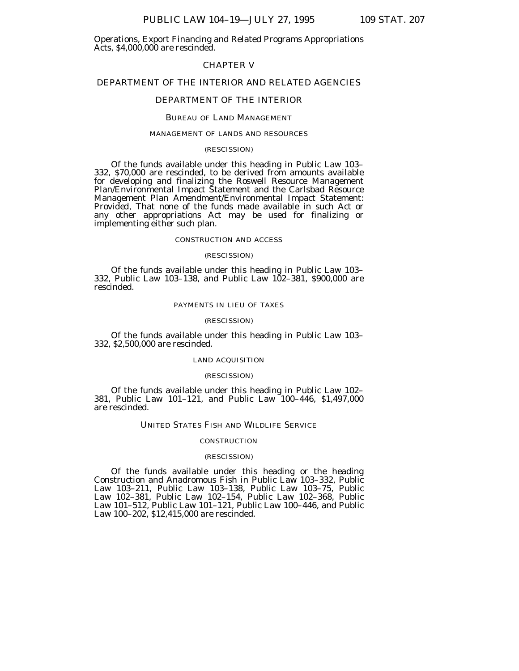Operations, Export Financing and Related Programs Appropriations Acts, \$4,000,000 are rescinded.

# CHAPTER V

# DEPARTMENT OF THE INTERIOR AND RELATED AGENCIES

# DEPARTMENT OF THE INTERIOR

#### BUREAU OF LAND MANAGEMENT

# MANAGEMENT OF LANDS AND RESOURCES

#### (RESCISSION)

Of the funds available under this heading in Public Law 103– 332, \$70,000 are rescinded, to be derived from amounts available for developing and finalizing the Roswell Resource Management Plan/Environmental Impact Statement and the Carlsbad Resource Management Plan Amendment/Environmental Impact Statement: *Provided,* That none of the funds made available in such Act or any other appropriations Act may be used for finalizing or implementing either such plan.

### CONSTRUCTION AND ACCESS

# (RESCISSION)

Of the funds available under this heading in Public Law 103– 332, Public Law 103–138, and Public Law 102–381, \$900,000 are rescinded.

#### PAYMENTS IN LIEU OF TAXES

#### (RESCISSION)

Of the funds available under this heading in Public Law 103– 332, \$2,500,000 are rescinded.

#### LAND ACQUISITION

#### (RESCISSION)

Of the funds available under this heading in Public Law 102– 381, Public Law 101–121, and Public Law 100–446, \$1,497,000 are rescinded.

### UNITED STATES FISH AND WILDLIFE SERVICE

#### **CONSTRUCTION**

### (RESCISSION)

Of the funds available under this heading or the heading Construction and Anadromous Fish in Public Law 103–332, Public Law 103–211, Public Law 103–138, Public Law 103–75, Public Law 102–381, Public Law 102–154, Public Law 102–368, Public Law 101–512, Public Law 101–121, Public Law 100–446, and Public Law 100–202, \$12,415,000 are rescinded.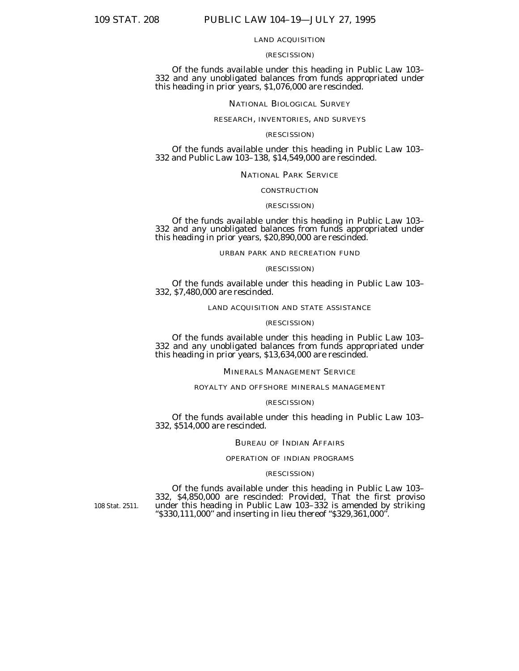#### LAND ACQUISITION

#### (RESCISSION)

Of the funds available under this heading in Public Law 103– 332 and any unobligated balances from funds appropriated under this heading in prior years, \$1,076,000 are rescinded.

### NATIONAL BIOLOGICAL SURVEY

#### RESEARCH, INVENTORIES, AND SURVEYS

#### (RESCISSION)

Of the funds available under this heading in Public Law 103– 332 and Public Law 103–138, \$14,549,000 are rescinded.

#### NATIONAL PARK SERVICE

# **CONSTRUCTION**

#### (RESCISSION)

Of the funds available under this heading in Public Law 103– 332 and any unobligated balances from funds appropriated under this heading in prior years, \$20,890,000 are rescinded.

## URBAN PARK AND RECREATION FUND

#### (RESCISSION)

Of the funds available under this heading in Public Law 103– 332, \$7,480,000 are rescinded.

#### LAND ACQUISITION AND STATE ASSISTANCE

#### (RESCISSION)

Of the funds available under this heading in Public Law 103– 332 and any unobligated balances from funds appropriated under this heading in prior years, \$13,634,000 are rescinded.

### MINERALS MANAGEMENT SERVICE

#### ROYALTY AND OFFSHORE MINERALS MANAGEMENT

#### (RESCISSION)

Of the funds available under this heading in Public Law 103– 332, \$514,000 are rescinded.

### BUREAU OF INDIAN AFFAIRS

#### OPERATION OF INDIAN PROGRAMS

#### (RESCISSION)

Of the funds available under this heading in Public Law 103– 332, \$4,850,000 are rescinded: *Provided,* That the first proviso under this heading in Public Law 103–332 is amended by striking ''\$330,111,000'' and inserting in lieu thereof ''\$329,361,000''.

108 Stat. 2511.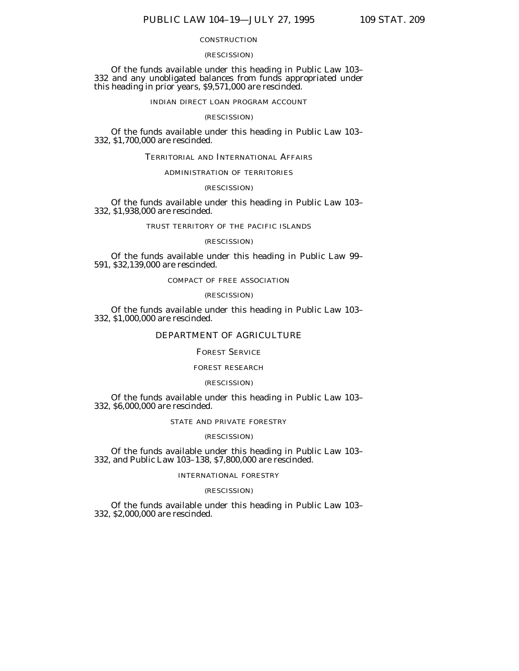### **CONSTRUCTION**

# (RESCISSION)

Of the funds available under this heading in Public Law 103– 332 and any unobligated balances from funds appropriated under this heading in prior years, \$9,571,000 are rescinded.

# INDIAN DIRECT LOAN PROGRAM ACCOUNT

### (RESCISSION)

Of the funds available under this heading in Public Law 103– 332, \$1,700,000 are rescinded.

### TERRITORIAL AND INTERNATIONAL AFFAIRS

### ADMINISTRATION OF TERRITORIES

#### (RESCISSION)

Of the funds available under this heading in Public Law 103– 332, \$1,938,000 are rescinded.

# TRUST TERRITORY OF THE PACIFIC ISLANDS

### (RESCISSION)

Of the funds available under this heading in Public Law 99– 591, \$32,139,000 are rescinded.

# COMPACT OF FREE ASSOCIATION

#### (RESCISSION)

Of the funds available under this heading in Public Law 103– 332, \$1,000,000 are rescinded.

# DEPARTMENT OF AGRICULTURE

### FOREST SERVICE

# FOREST RESEARCH

# (RESCISSION)

Of the funds available under this heading in Public Law 103– 332, \$6,000,000 are rescinded.

# STATE AND PRIVATE FORESTRY

#### (RESCISSION)

Of the funds available under this heading in Public Law 103– 332, and Public Law 103–138, \$7,800,000 are rescinded.

# INTERNATIONAL FORESTRY

# (RESCISSION)

Of the funds available under this heading in Public Law 103– 332, \$2,000,000 are rescinded.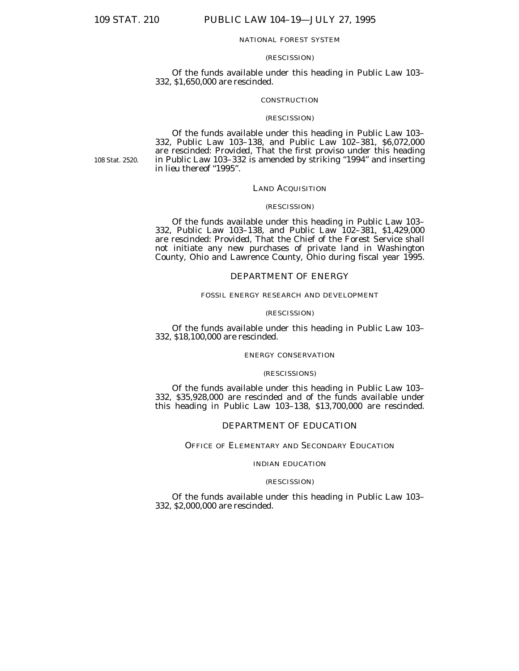### NATIONAL FOREST SYSTEM

#### (RESCISSION)

Of the funds available under this heading in Public Law 103– 332, \$1,650,000 are rescinded.

#### **CONSTRUCTION**

#### (RESCISSION)

Of the funds available under this heading in Public Law 103– 332, Public Law 103–138, and Public Law 102–381, \$6,072,000 are rescinded: *Provided,* That the first proviso under this heading in Public Law 103-332 is amended by striking "1994" and inserting in lieu thereof "1995".

LAND ACQUISITION

#### (RESCISSION)

Of the funds available under this heading in Public Law 103– 332, Public Law 103–138, and Public Law 102–381, \$1,429,000 are rescinded: *Provided,* That the Chief of the Forest Service shall not initiate any new purchases of private land in Washington County, Ohio and Lawrence County, Ohio during fiscal year 1995.

# DEPARTMENT OF ENERGY

#### FOSSIL ENERGY RESEARCH AND DEVELOPMENT

### (RESCISSION)

Of the funds available under this heading in Public Law 103– 332, \$18,100,000 are rescinded.

# ENERGY CONSERVATION

#### (RESCISSIONS)

Of the funds available under this heading in Public Law 103– 332, \$35,928,000 are rescinded and of the funds available under this heading in Public Law 103–138, \$13,700,000 are rescinded.

# DEPARTMENT OF EDUCATION

OFFICE OF ELEMENTARY AND SECONDARY EDUCATION

# INDIAN EDUCATION

### (RESCISSION)

Of the funds available under this heading in Public Law 103– 332, \$2,000,000 are rescinded.

108 Stat. 2520.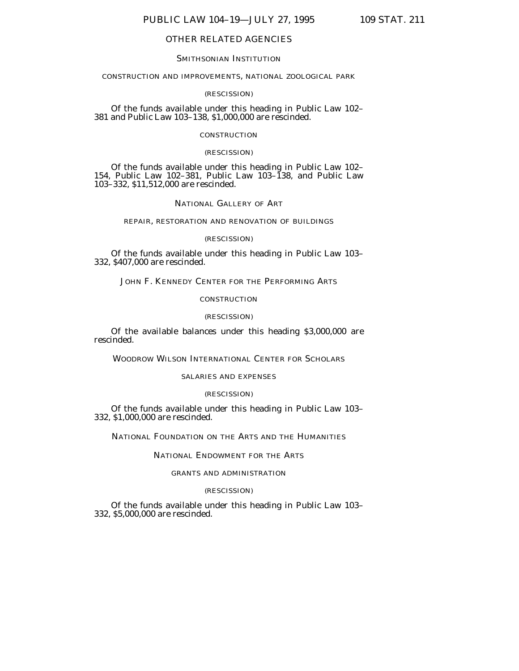# OTHER RELATED AGENCIES

# SMITHSONIAN INSTITUTION

CONSTRUCTION AND IMPROVEMENTS, NATIONAL ZOOLOGICAL PARK

### (RESCISSION)

Of the funds available under this heading in Public Law 102– 381 and Public Law 103–138, \$1,000,000 are rescinded.

# **CONSTRUCTION**

# (RESCISSION)

Of the funds available under this heading in Public Law 102– 154, Public Law 102–381, Public Law 103–138, and Public Law 103–332, \$11,512,000 are rescinded.

### NATIONAL GALLERY OF ART

#### REPAIR, RESTORATION AND RENOVATION OF BUILDINGS

#### (RESCISSION)

Of the funds available under this heading in Public Law 103– 332, \$407,000 are rescinded.

JOHN F. KENNEDY CENTER FOR THE PERFORMING ARTS

#### CONSTRUCTION

#### (RESCISSION)

Of the available balances under this heading \$3,000,000 are rescinded.

WOODROW WILSON INTERNATIONAL CENTER FOR SCHOLARS

# SALARIES AND EXPENSES

#### (RESCISSION)

Of the funds available under this heading in Public Law 103– 332, \$1,000,000 are rescinded.

NATIONAL FOUNDATION ON THE ARTS AND THE HUMANITIES

# NATIONAL ENDOWMENT FOR THE ARTS

### GRANTS AND ADMINISTRATION

# (RESCISSION)

Of the funds available under this heading in Public Law 103– 332, \$5,000,000 are rescinded.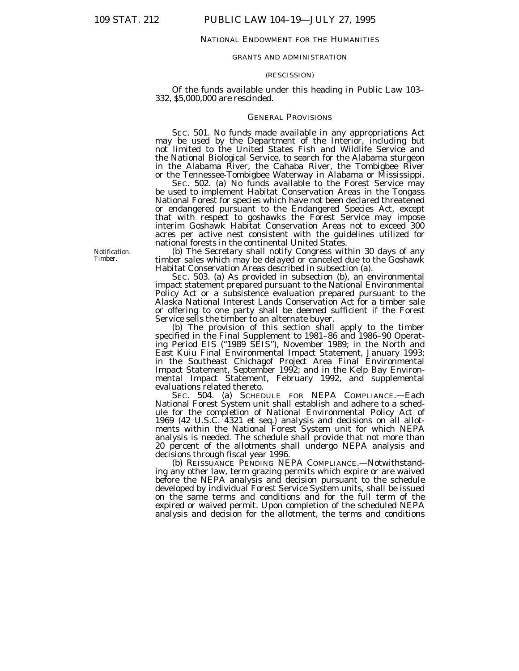#### NATIONAL ENDOWMENT FOR THE HUMANITIES

#### GRANTS AND ADMINISTRATION

#### (RESCISSION)

Of the funds available under this heading in Public Law 103– 332, \$5,000,000 are rescinded.

### GENERAL PROVISIONS

SEC. 501. No funds made available in any appropriations Act may be used by the Department of the Interior, including but not limited to the United States Fish and Wildlife Service and the National Biological Service, to search for the Alabama sturgeon in the Alabama River, the Cahaba River, the Tombigbee River or the Tennessee-Tombigbee Waterway in Alabama or Mississippi.

SEC. 502. (a) No funds available to the Forest Service may be used to implement Habitat Conservation Areas in the Tongass National Forest for species which have not been declared threatened or endangered pursuant to the Endangered Species Act, except that with respect to goshawks the Forest Service may impose interim Goshawk Habitat Conservation Areas not to exceed 300 acres per active nest consistent with the guidelines utilized for national forests in the continental United States.

(b) The Secretary shall notify Congress within 30 days of any timber sales which may be delayed or canceled due to the Goshawk Habitat Conservation Areas described in subsection (a).

SEC. 503. (a) As provided in subsection (b), an environmental impact statement prepared pursuant to the National Environmental Policy Act or a subsistence evaluation prepared pursuant to the Alaska National Interest Lands Conservation Act for a timber sale or offering to one party shall be deemed sufficient if the Forest Service sells the timber to an alternate buyer.

(b) The provision of this section shall apply to the timber specified in the Final Supplement to 1981-86 and 1986-90 Operating Period EIS (''1989 SEIS''), November 1989; in the North and East Kuiu Final Environmental Impact Statement, January 1993; in the Southeast Chichagof Project Area Final Environmental Impact Statement, September 1992; and in the Kelp Bay Environmental Impact Statement, February 1992, and supplemental evaluations related thereto.

SEC. 504. (a) SCHEDULE FOR NEPA COMPLIANCE.—Each National Forest System unit shall establish and adhere to a schedule for the completion of National Environmental Policy Act of 1969 (42 U.S.C. 4321 et seq.) analysis and decisions on all allotments within the National Forest System unit for which NEPA analysis is needed. The schedule shall provide that not more than 20 percent of the allotments shall undergo NEPA analysis and decisions through fiscal year 1996.

(b) REISSUANCE PENDING NEPA COMPLIANCE.—Notwithstanding any other law, term grazing permits which expire or are waived before the NEPA analysis and decision pursuant to the schedule developed by individual Forest Service System units, shall be issued on the same terms and conditions and for the full term of the expired or waived permit. Upon completion of the scheduled NEPA analysis and decision for the allotment, the terms and conditions

Notification. Timber.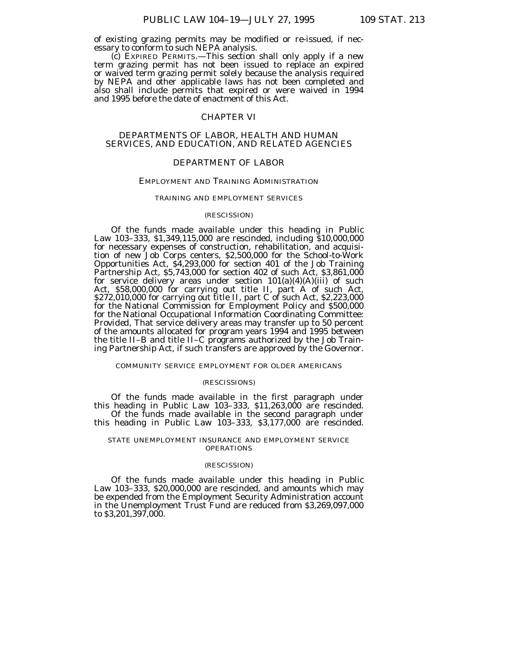of existing grazing permits may be modified or re-issued, if necessary to conform to such NEPA analysis. (c) EXPIRED PERMITS.—This section shall only apply if a new

term grazing permit has not been issued to replace an expired or waived term grazing permit solely because the analysis required by NEPA and other applicable laws has not been completed and also shall include permits that expired or were waived in 1994 and 1995 before the date of enactment of this Act.

# CHAPTER VI

# DEPARTMENTS OF LABOR, HEALTH AND HUMAN SERVICES, AND EDUCATION, AND RELATED AGENCIES

# DEPARTMENT OF LABOR

# EMPLOYMENT AND TRAINING ADMINISTRATION

#### TRAINING AND EMPLOYMENT SERVICES

#### (RESCISSION)

Of the funds made available under this heading in Public Law 103–333, \$1,349,115,000 are rescinded, including \$10,000,000 for necessary expenses of construction, rehabilitation, and acquisition of new Job Corps centers, \$2,500,000 for the School-to-Work Opportunities Act, \$4,293,000 for section 401 of the Job Training Partnership Act, \$5,743,000 for section 402 of such Act, \$3,861,000 for service delivery areas under section 101(a)(4)(A)(iii) of such Act, \$58,000,000 for carrying out title II, part A of such Act, \$272,010,000 for carrying out title II, part C of such Act, \$2,223,000 for the National Commission for Employment Policy and \$500,000 for the National Occupational Information Coordinating Committee: *Provided,* That service delivery areas may transfer up to 50 percent of the amounts allocated for program years 1994 and 1995 between the title II–B and title II–C programs authorized by the Job Training Partnership Act, if such transfers are approved by the Governor.

### COMMUNITY SERVICE EMPLOYMENT FOR OLDER AMERICANS

### (RESCISSIONS)

Of the funds made available in the first paragraph under this heading in Public Law 103–333, \$11,263,000 are rescinded. Of the funds made available in the second paragraph under this heading in Public Law 103–333, \$3,177,000 are rescinded.

#### STATE UNEMPLOYMENT INSURANCE AND EMPLOYMENT SERVICE OPERATIONS

# (RESCISSION)

Of the funds made available under this heading in Public Law 103–333, \$20,000,000 are rescinded, and amounts which may be expended from the Employment Security Administration account in the Unemployment Trust Fund are reduced from \$3,269,097,000 to \$3,201,397,000.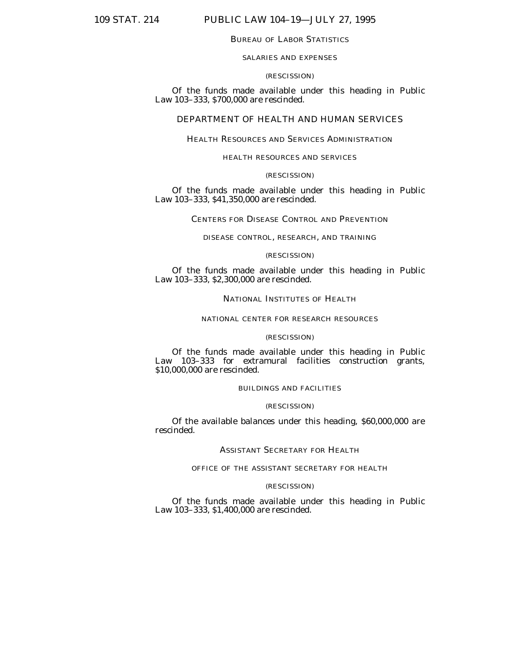# 109 STAT. 214 PUBLIC LAW 104–19—JULY 27, 1995

# BUREAU OF LABOR STATISTICS

### SALARIES AND EXPENSES

### (RESCISSION)

Of the funds made available under this heading in Public Law 103–333, \$700,000 are rescinded.

# DEPARTMENT OF HEALTH AND HUMAN SERVICES

# HEALTH RESOURCES AND SERVICES ADMINISTRATION

### HEALTH RESOURCES AND SERVICES

#### (RESCISSION)

Of the funds made available under this heading in Public Law 103–333, \$41,350,000 are rescinded.

CENTERS FOR DISEASE CONTROL AND PREVENTION

# DISEASE CONTROL, RESEARCH, AND TRAINING

### (RESCISSION)

Of the funds made available under this heading in Public Law 103–333, \$2,300,000 are rescinded.

# NATIONAL INSTITUTES OF HEALTH

### NATIONAL CENTER FOR RESEARCH RESOURCES

# (RESCISSION)

Of the funds made available under this heading in Public Law 103–333 for extramural facilities construction grants, \$10,000,000 are rescinded.

# BUILDINGS AND FACILITIES

#### (RESCISSION)

Of the available balances under this heading, \$60,000,000 are rescinded.

# ASSISTANT SECRETARY FOR HEALTH

# OFFICE OF THE ASSISTANT SECRETARY FOR HEALTH

# (RESCISSION)

Of the funds made available under this heading in Public Law 103–333, \$1,400,000 are rescinded.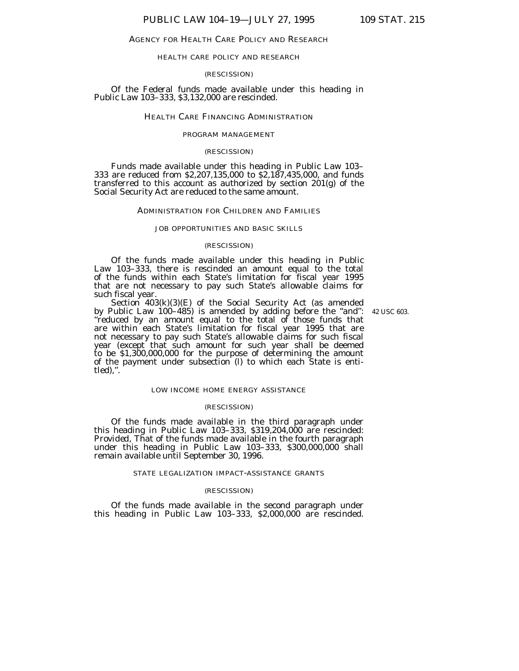# AGENCY FOR HEALTH CARE POLICY AND RESEARCH

### HEALTH CARE POLICY AND RESEARCH

# (RESCISSION)

Of the Federal funds made available under this heading in Public Law 103–333, \$3,132,000 are rescinded.

### HEALTH CARE FINANCING ADMINISTRATION

# PROGRAM MANAGEMENT

#### (RESCISSION)

Funds made available under this heading in Public Law 103– 333 are reduced from \$2,207,135,000 to \$2,187,435,000, and funds transferred to this account as authorized by section 201(g) of the Social Security Act are reduced to the same amount.

### ADMINISTRATION FOR CHILDREN AND FAMILIES

#### JOB OPPORTUNITIES AND BASIC SKILLS

#### (RESCISSION)

Of the funds made available under this heading in Public Law 103-333, there is rescinded an amount equal to the total of the funds within each State's limitation for fiscal year 1995 that are not necessary to pay such State's allowable claims for such fiscal year.

Section 403(k)(3)(E) of the Social Security Act (as amended by Public Law 100–485) is amended by adding before the ''and'': ''reduced by an amount equal to the total of those funds that are within each State's limitation for fiscal year 1995 that are not necessary to pay such State's allowable claims for such fiscal year (except that such amount for such year shall be deemed to be \$1,300,000,000 for the purpose of determining the amount of the payment under subsection (l) to which each State is entitled),''.

#### LOW INCOME HOME ENERGY ASSISTANCE

#### (RESCISSION)

Of the funds made available in the third paragraph under this heading in Public Law 103–333, \$319,204,000 are rescinded: *Provided,* That of the funds made available in the fourth paragraph under this heading in Public Law 103-333, \$300,000,000 shall remain available until September 30, 1996.

#### STATE LEGALIZATION IMPACT-ASSISTANCE GRANTS

#### (RESCISSION)

Of the funds made available in the second paragraph under this heading in Public Law 103–333, \$2,000,000 are rescinded.

42 USC 603.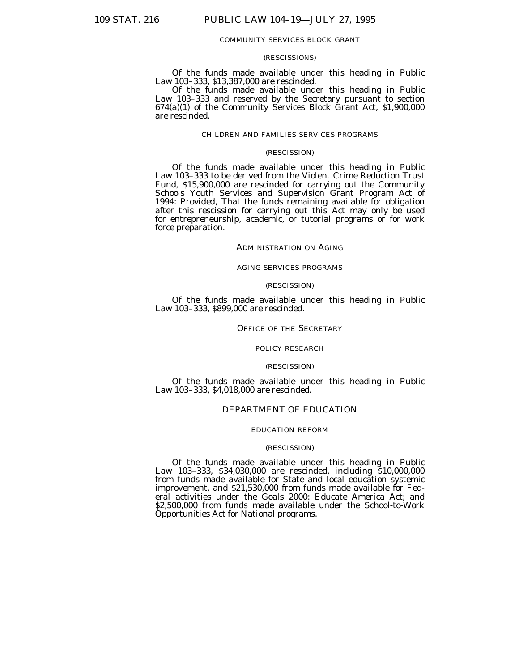### COMMUNITY SERVICES BLOCK GRANT

#### (RESCISSIONS)

Of the funds made available under this heading in Public Law 103–333, \$13,387,000 are rescinded.

Of the funds made available under this heading in Public Law 103–333 and reserved by the Secretary pursuant to section 674(a)(1) of the Community Services Block Grant Act, \$1,900,000 are rescinded.

# CHILDREN AND FAMILIES SERVICES PROGRAMS

#### (RESCISSION)

Of the funds made available under this heading in Public Law 103–333 to be derived from the Violent Crime Reduction Trust Fund, \$15,900,000 are rescinded for carrying out the Community Schools Youth Services and Supervision Grant Program Act of 1994: *Provided,* That the funds remaining available for obligation after this rescission for carrying out this Act may only be used for entrepreneurship, academic, or tutorial programs or for work force preparation.

#### ADMINISTRATION ON AGING

#### AGING SERVICES PROGRAMS

#### (RESCISSION)

Of the funds made available under this heading in Public Law 103–333, \$899,000 are rescinded.

#### OFFICE OF THE SECRETARY

### POLICY RESEARCH

#### (RESCISSION)

Of the funds made available under this heading in Public Law 103–333, \$4,018,000 are rescinded.

# DEPARTMENT OF EDUCATION

#### EDUCATION REFORM

#### (RESCISSION)

Of the funds made available under this heading in Public Law 103–333, \$34,030,000 are rescinded, including \$10,000,000 from funds made available for State and local education systemic improvement, and \$21,530,000 from funds made available for Federal activities under the Goals 2000: Educate America Act; and \$2,500,000 from funds made available under the School-to-Work Opportunities Act for National programs.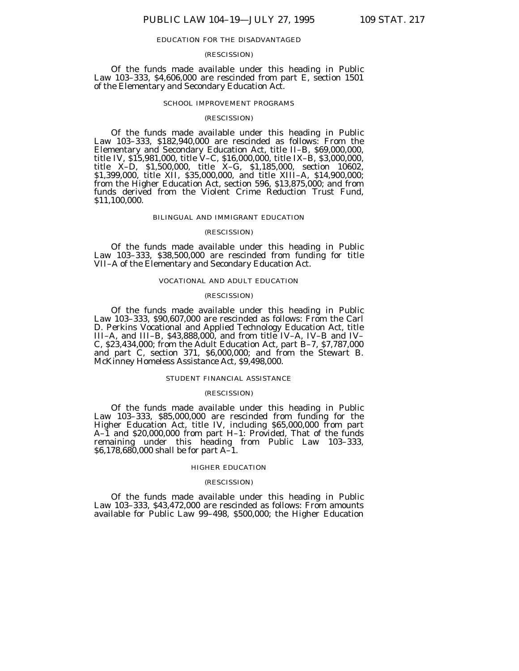# EDUCATION FOR THE DISADVANTAGED

#### (RESCISSION)

Of the funds made available under this heading in Public Law 103–333, \$4,606,000 are rescinded from part E, section 1501 of the Elementary and Secondary Education Act.

#### SCHOOL IMPROVEMENT PROGRAMS

#### (RESCISSION)

Of the funds made available under this heading in Public Law 103–333, \$182,940,000 are rescinded as follows: From the Elementary and Secondary Education Act, title II–B, \$69,000,000, title IV, \$15,981,000, title V–C, \$16,000,000, title IX–B, \$3,000,000, title X–D, \$1,500,000, title X–G, \$1,185,000, section 10602, \$1,399,000, title XII, \$35,000,000, and title XIII–A, \$14,900,000; from the Higher Education Act, section 596, \$13,875,000; and from funds derived from the Violent Crime Reduction Trust Fund, \$11,100,000.

#### BILINGUAL AND IMMIGRANT EDUCATION

#### (RESCISSION)

Of the funds made available under this heading in Public Law 103–333, \$38,500,000 are rescinded from funding for title VII–A of the Elementary and Secondary Education Act.

### VOCATIONAL AND ADULT EDUCATION

#### (RESCISSION)

Of the funds made available under this heading in Public Law 103–333, \$90,607,000 are rescinded as follows: From the Carl D. Perkins Vocational and Applied Technology Education Act, title III–A, and III–B, \$43,888,000, and from title IV–A, IV–B and IV– C, \$23,434,000; from the Adult Education Act, part B–7, \$7,787,000 and part C, section 371, \$6,000,000; and from the Stewart B. McKinney Homeless Assistance Act, \$9,498,000.

#### STUDENT FINANCIAL ASSISTANCE

#### (RESCISSION)

Of the funds made available under this heading in Public Law 103–333, \$85,000,000 are rescinded from funding for the Higher Education Act, title IV, including \$65,000,000 from part A–1 and \$20,000,000 from part H–1: *Provided,* That of the funds remaining under this heading from Public Law 103–333, \$6,178,680,000 shall be for part A–1.

#### HIGHER EDUCATION

#### (RESCISSION)

Of the funds made available under this heading in Public Law 103–333, \$43,472,000 are rescinded as follows: From amounts available for Public Law 99–498, \$500,000; the Higher Education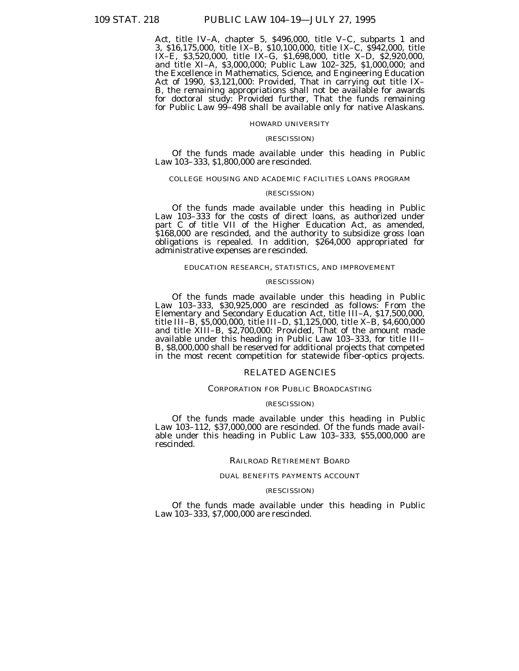Act, title IV–A, chapter 5, \$496,000, title V–C, subparts 1 and 3, \$16,175,000, title IX–B, \$10,100,000, title IX–C, \$942,000, title IX–E, \$3,520,000, title IX–G, \$1,698,000, title X–D, \$2,920,000, and title XI–A, \$3,000,000; Public Law 102–325, \$1,000,000; and the Excellence in Mathematics, Science, and Engineering Education Act of 1990, \$3,121,000: *Provided,* That in carrying out title IX– B, the remaining appropriations shall not be available for awards for doctoral study: *Provided further,* That the funds remaining for Public Law 99-498 shall be available only for native Alaskans.

#### HOWARD UNIVERSITY

#### (RESCISSION)

Of the funds made available under this heading in Public Law 103–333, \$1,800,000 are rescinded.

#### COLLEGE HOUSING AND ACADEMIC FACILITIES LOANS PROGRAM

#### (RESCISSION)

Of the funds made available under this heading in Public Law 103–333 for the costs of direct loans, as authorized under part C of title VII of the Higher Education Act, as amended, \$168,000 are rescinded, and the authority to subsidize gross loan obligations is repealed. In addition, \$264,000 appropriated for administrative expenses are rescinded.

#### EDUCATION RESEARCH, STATISTICS, AND IMPROVEMENT

### (RESCISSION)

Of the funds made available under this heading in Public Law 103–333, \$30,925,000 are rescinded as follows: From the Elementary and Secondary Education Act, title III–A, \$17,500,000, title III–B, \$5,000,000, title III–D, \$1,125,000, title X–B, \$4,600,000 and title XIII–B, \$2,700,000: *Provided,* That of the amount made available under this heading in Public Law 103–333, for title III– B, \$8,000,000 shall be reserved for additional projects that competed in the most recent competition for statewide fiber-optics projects.

# RELATED AGENCIES

# CORPORATION FOR PUBLIC BROADCASTING

#### (RESCISSION)

Of the funds made available under this heading in Public Law 103–112, \$37,000,000 are rescinded. Of the funds made available under this heading in Public Law 103–333, \$55,000,000 are rescinded.

### RAILROAD RETIREMENT BOARD

#### DUAL BENEFITS PAYMENTS ACCOUNT

#### (RESCISSION)

Of the funds made available under this heading in Public Law 103–333, \$7,000,000 are rescinded.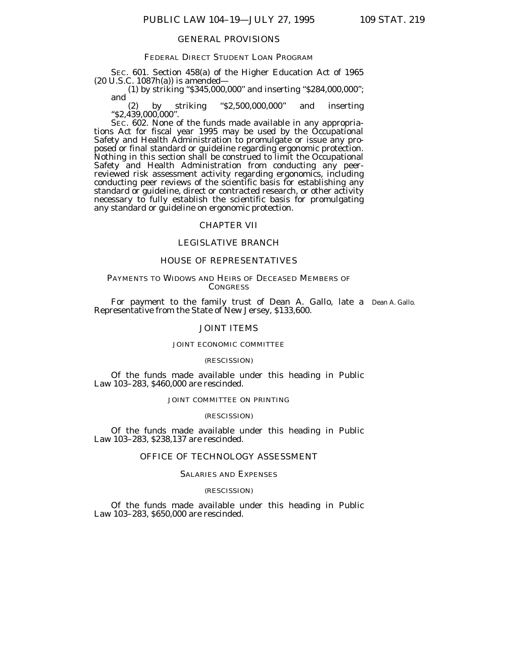# GENERAL PROVISIONS

# FEDERAL DIRECT STUDENT LOAN PROGRAM

SEC. 601. Section 458(a) of the Higher Education Act of 1965 (20 U.S.C. 1087h(a)) is amended—

(1) by striking ''\$345,000,000'' and inserting ''\$284,000,000''; and

(2) by striking ''\$2,500,000,000'' and inserting ''\$2,439,000,000''.

SEC. 602. None of the funds made available in any appropriations Act for fiscal year 1995 may be used by the Occupational Safety and Health Administration to promulgate or issue any proposed or final standard or guideline regarding ergonomic protection. Nothing in this section shall be construed to limit the Occupational Safety and Health Administration from conducting any peerreviewed risk assessment activity regarding ergonomics, including conducting peer reviews of the scientific basis for establishing any standard or guideline, direct or contracted research, or other activity necessary to fully establish the scientific basis for promulgating any standard or guideline on ergonomic protection.

# CHAPTER VII

# LEGISLATIVE BRANCH

# HOUSE OF REPRESENTATIVES

# PAYMENTS TO WIDOWS AND HEIRS OF DECEASED MEMBERS OF **CONGRESS**

For payment to the family trust of Dean A. Gallo, late a Dean A. Gallo.Representative from the State of New Jersey, \$133,600.

# JOINT ITEMS

### JOINT ECONOMIC COMMITTEE

#### (RESCISSION)

Of the funds made available under this heading in Public Law 103–283, \$460,000 are rescinded.

### JOINT COMMITTEE ON PRINTING

#### (RESCISSION)

Of the funds made available under this heading in Public Law 103–283, \$238,137 are rescinded.

# OFFICE OF TECHNOLOGY ASSESSMENT

# SALARIES AND EXPENSES

#### (RESCISSION)

Of the funds made available under this heading in Public Law 103–283, \$650,000 are rescinded.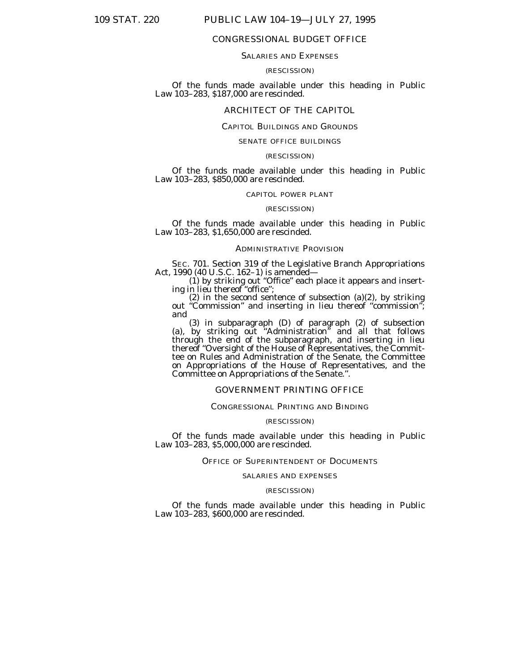# 109 STAT. 220 PUBLIC LAW 104–19—JULY 27, 1995

# CONGRESSIONAL BUDGET OFFICE

# SALARIES AND EXPENSES

### (RESCISSION)

Of the funds made available under this heading in Public Law 103–283, \$187,000 are rescinded.

# ARCHITECT OF THE CAPITOL

### CAPITOL BUILDINGS AND GROUNDS

#### SENATE OFFICE BUILDINGS

#### (RESCISSION)

Of the funds made available under this heading in Public Law 103–283, \$850,000 are rescinded.

### CAPITOL POWER PLANT

#### (RESCISSION)

Of the funds made available under this heading in Public Law 103–283, \$1,650,000 are rescinded.

#### ADMINISTRATIVE PROVISION

SEC. 701. Section 319 of the Legislative Branch Appropriations Act, 1990 (40 U.S.C. 162–1) is amended—

(1) by striking out ''Office'' each place it appears and inserting in lieu thereof ''office'';

(2) in the second sentence of subsection (a)(2), by striking out ''Commission'' and inserting in lieu thereof ''commission''; and

(3) in subparagraph (D) of paragraph (2) of subsection (a), by striking out ''Administration'' and all that follows through the end of the subparagraph, and inserting in lieu thereof ''Oversight of the House of Representatives, the Committee on Rules and Administration of the Senate, the Committee on Appropriations of the House of Representatives, and the Committee on Appropriations of the Senate.''.

# GOVERNMENT PRINTING OFFICE

# CONGRESSIONAL PRINTING AND BINDING

#### (RESCISSION)

Of the funds made available under this heading in Public Law 103–283, \$5,000,000 are rescinded.

# OFFICE OF SUPERINTENDENT OF DOCUMENTS

#### SALARIES AND EXPENSES

#### (RESCISSION)

Of the funds made available under this heading in Public Law 103–283, \$600,000 are rescinded.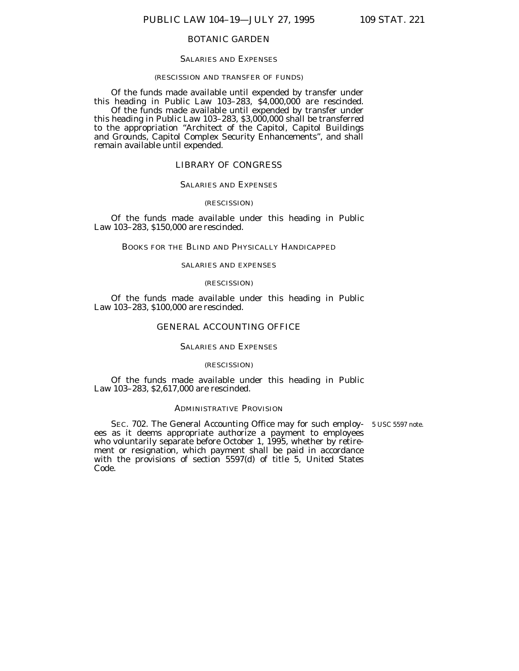# BOTANIC GARDEN

#### SALARIES AND EXPENSES

#### (RESCISSION AND TRANSFER OF FUNDS)

Of the funds made available until expended by transfer under this heading in Public Law 103-283, \$4,000,000 are rescinded. Of the funds made available until expended by transfer under this heading in Public Law 103–283, \$3,000,000 shall be transferred to the appropriation ''Architect of the Capitol, Capitol Buildings and Grounds, Capitol Complex Security Enhancements'', and shall remain available until expended.

# LIBRARY OF CONGRESS

# SALARIES AND EXPENSES

#### (RESCISSION)

Of the funds made available under this heading in Public Law 103–283, \$150,000 are rescinded.

# BOOKS FOR THE BLIND AND PHYSICALLY HANDICAPPED

# SALARIES AND EXPENSES

#### (RESCISSION)

Of the funds made available under this heading in Public Law 103–283, \$100,000 are rescinded.

# GENERAL ACCOUNTING OFFICE

### SALARIES AND EXPENSES

#### (RESCISSION)

Of the funds made available under this heading in Public Law 103–283, \$2,617,000 are rescinded.

# ADMINISTRATIVE PROVISION

SEC. 702. The General Accounting Office may for such employ-5 USC 5597 note.ees as it deems appropriate authorize a payment to employees who voluntarily separate before October 1, 1995, whether by retirement or resignation, which payment shall be paid in accordance with the provisions of section 5597(d) of title 5, United States Code.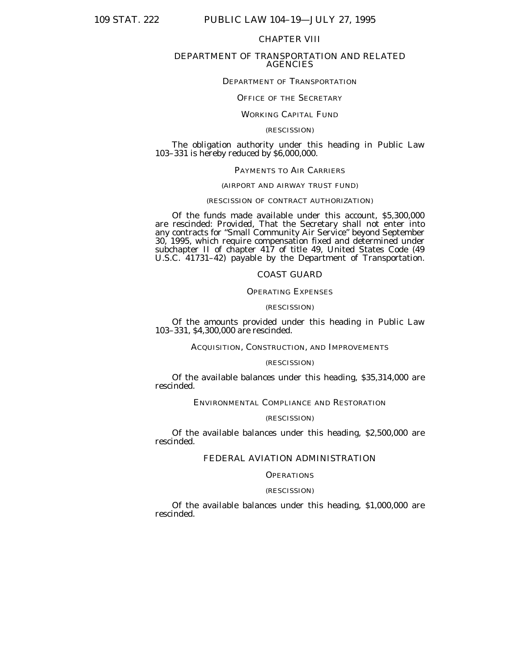# CHAPTER VIII

### DEPARTMENT OF TRANSPORTATION AND RELATED **AGENCIES**

# DEPARTMENT OF TRANSPORTATION

# OFFICE OF THE SECRETARY

# WORKING CAPITAL FUND

## (RESCISSION)

The obligation authority under this heading in Public Law 103–331 is hereby reduced by \$6,000,000.

# PAYMENTS TO AIR CARRIERS

# (AIRPORT AND AIRWAY TRUST FUND)

#### (RESCISSION OF CONTRACT AUTHORIZATION)

Of the funds made available under this account, \$5,300,000 are rescinded: *Provided,* That the Secretary shall not enter into any contracts for ''Small Community Air Service'' beyond September 30, 1995, which require compensation fixed and determined under subchapter II of chapter 417 of title 49, United States Code (49 U.S.C. 41731–42) payable by the Department of Transportation.

# COAST GUARD

#### OPERATING EXPENSES

# (RESCISSION)

Of the amounts provided under this heading in Public Law 103–331, \$4,300,000 are rescinded.

### ACQUISITION, CONSTRUCTION, AND IMPROVEMENTS

### (RESCISSION)

Of the available balances under this heading, \$35,314,000 are rescinded.

### ENVIRONMENTAL COMPLIANCE AND RESTORATION

### (RESCISSION)

Of the available balances under this heading, \$2,500,000 are rescinded.

# FEDERAL AVIATION ADMINISTRATION

### **OPERATIONS**

# (RESCISSION)

Of the available balances under this heading, \$1,000,000 are rescinded.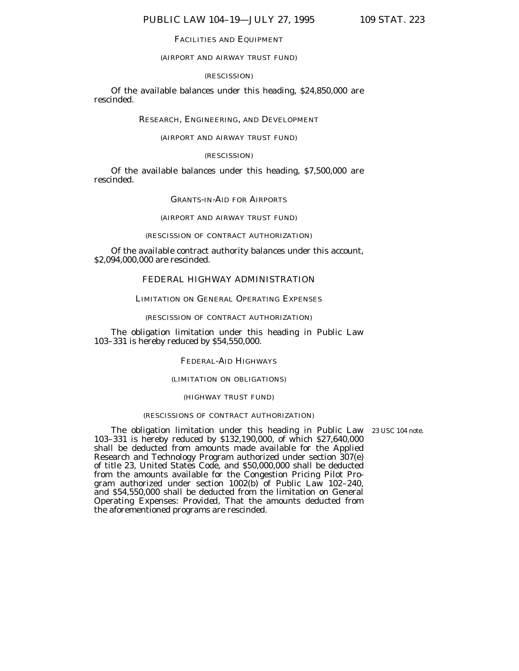# FACILITIES AND EQUIPMENT

### (AIRPORT AND AIRWAY TRUST FUND)

#### (RESCISSION)

Of the available balances under this heading, \$24,850,000 are rescinded.

# RESEARCH, ENGINEERING, AND DEVELOPMENT

### (AIRPORT AND AIRWAY TRUST FUND)

#### (RESCISSION)

Of the available balances under this heading, \$7,500,000 are rescinded.

GRANTS-IN-AID FOR AIRPORTS

# (AIRPORT AND AIRWAY TRUST FUND)

# (RESCISSION OF CONTRACT AUTHORIZATION)

Of the available contract authority balances under this account, \$2,094,000,000 are rescinded.

# FEDERAL HIGHWAY ADMINISTRATION

### LIMITATION ON GENERAL OPERATING EXPENSES

# (RESCISSION OF CONTRACT AUTHORIZATION)

The obligation limitation under this heading in Public Law 103–331 is hereby reduced by \$54,550,000.

FEDERAL-AID HIGHWAYS

### (LIMITATION ON OBLIGATIONS)

# (HIGHWAY TRUST FUND)

# (RESCISSIONS OF CONTRACT AUTHORIZATION)

The obligation limitation under this heading in Public Law 23 USC 104 note.103–331 is hereby reduced by \$132,190,000, of which \$27,640,000 shall be deducted from amounts made available for the Applied Research and Technology Program authorized under section 307(e) of title 23, United States Code, and \$50,000,000 shall be deducted from the amounts available for the Congestion Pricing Pilot Program authorized under section 1002(b) of Public Law 102-240, and \$54,550,000 shall be deducted from the limitation on General Operating Expenses: *Provided,* That the amounts deducted from the aforementioned programs are rescinded.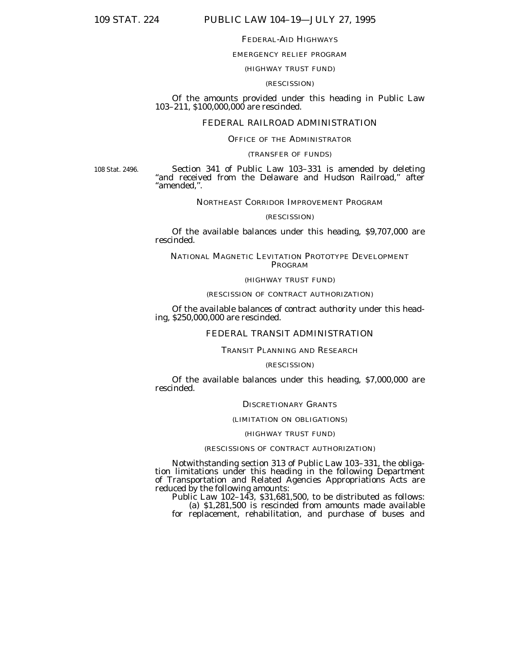# 109 STAT. 224 PUBLIC LAW 104–19—JULY 27, 1995

#### FEDERAL-AID HIGHWAYS

# EMERGENCY RELIEF PROGRAM

# (HIGHWAY TRUST FUND)

# (RESCISSION)

# Of the amounts provided under this heading in Public Law 103–211, \$100,000,000 are rescinded.

#### FEDERAL RAILROAD ADMINISTRATION

# OFFICE OF THE ADMINISTRATOR

#### (TRANSFER OF FUNDS)

108 Stat. 2496.

Section 341 of Public Law 103-331 is amended by deleting "and received from the Delaware and Hudson Railroad," after ''amended,''.

# NORTHEAST CORRIDOR IMPROVEMENT PROGRAM

#### (RESCISSION)

Of the available balances under this heading, \$9,707,000 are rescinded.

# NATIONAL MAGNETIC LEVITATION PROTOTYPE DEVELOPMENT PROGRAM

# (HIGHWAY TRUST FUND)

#### (RESCISSION OF CONTRACT AUTHORIZATION)

Of the available balances of contract authority under this head- ing, \$250,000,000 are rescinded.

# FEDERAL TRANSIT ADMINISTRATION

#### TRANSIT PLANNING AND RESEARCH

#### (RESCISSION)

Of the available balances under this heading, \$7,000,000 are rescinded.

#### DISCRETIONARY GRANTS

#### (LIMITATION ON OBLIGATIONS)

#### (HIGHWAY TRUST FUND)

# (RESCISSIONS OF CONTRACT AUTHORIZATION)

Notwithstanding section 313 of Public Law 103–331, the obliga- tion limitations under this heading in the following Department of Transportation and Related Agencies Appropriations Acts are reduced by the following amounts:

Public Law 102–143, \$31,681,500, to be distributed as follows: (a) \$1,281,500 is rescinded from amounts made available

for replacement, rehabilitation, and purchase of buses and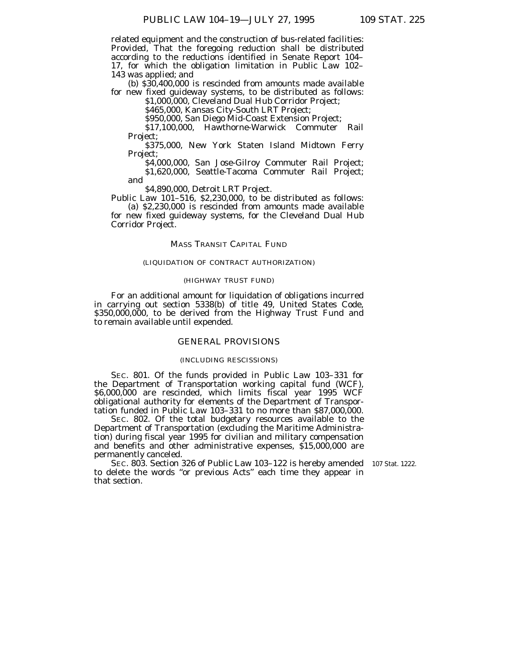related equipment and the construction of bus-related facilities: *Provided,* That the foregoing reduction shall be distributed according to the reductions identified in Senate Report 104– 17, for which the obligation limitation in Public Law 102– 143 was applied; and

(b) \$30,400,000 is rescinded from amounts made available for new fixed guideway systems, to be distributed as follows: \$1,000,000, Cleveland Dual Hub Corridor Project;

\$465,000, Kansas City-South LRT Project;

\$950,000, San Diego Mid-Coast Extension Project;

\$17,100,000, Hawthorne-Warwick Commuter Rail Project;

\$375,000, New York Staten Island Midtown Ferry Project;

\$4,000,000, San Jose-Gilroy Commuter Rail Project; \$1,620,000, Seattle-Tacoma Commuter Rail Project; and

\$4,890,000, Detroit LRT Project.

Public Law 101–516, \$2,230,000, to be distributed as follows: (a) \$2,230,000 is rescinded from amounts made available for new fixed guideway systems, for the Cleveland Dual Hub Corridor Project.

### MASS TRANSIT CAPITAL FUND

#### (LIQUIDATION OF CONTRACT AUTHORIZATION)

# (HIGHWAY TRUST FUND)

For an additional amount for liquidation of obligations incurred in carrying out section 5338(b) of title 49, United States Code, \$350,000,000, to be derived from the Highway Trust Fund and to remain available until expended.

### GENERAL PROVISIONS

#### (INCLUDING RESCISSIONS)

SEC. 801. Of the funds provided in Public Law 103–331 for the Department of Transportation working capital fund (WCF), \$6,000,000 are rescinded, which limits fiscal year 1995 WCF obligational authority for elements of the Department of Transportation funded in Public Law  $103-331$  to no more than  $$87,000,000$ .

SEC. 802. Of the total budgetary resources available to the Department of Transportation (excluding the Maritime Administration) during fiscal year 1995 for civilian and military compensation and benefits and other administrative expenses, \$15,000,000 are permanently canceled.

SEC. 803. Section 326 of Public Law 103–122 is hereby amended 107 Stat. 1222.to delete the words "or previous Acts" each time they appear in that section.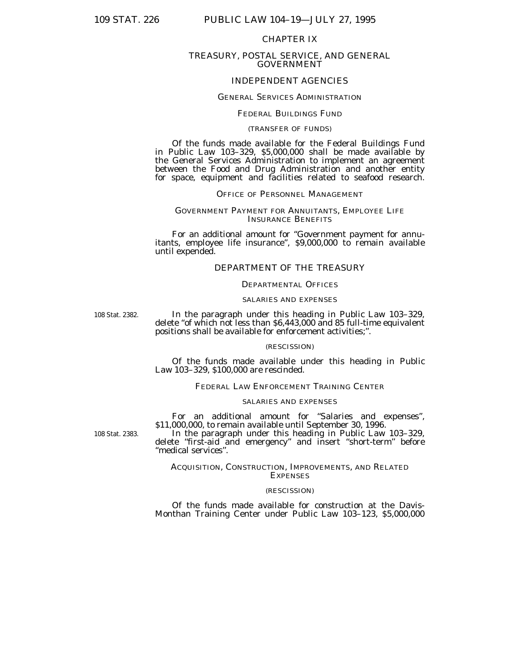#### CHAPTER IX

# TREASURY, POSTAL SERVICE, AND GENERAL GOVERNMENT

# INDEPENDENT AGENCIES

# GENERAL SERVICES ADMINISTRATION

### FEDERAL BUILDINGS FUND

#### (TRANSFER OF FUNDS)

Of the funds made available for the Federal Buildings Fund in Public Law 103–329, \$5,000,000 shall be made available by the General Services Administration to implement an agreement between the Food and Drug Administration and another entity for space, equipment and facilities related to seafood research.

#### OFFICE OF PERSONNEL MANAGEMENT

### GOVERNMENT PAYMENT FOR ANNUITANTS, EMPLOYEE LIFE INSURANCE BENEFITS

For an additional amount for ''Government payment for annuitants, employee life insurance'', \$9,000,000 to remain available until expended.

# DEPARTMENT OF THE TREASURY

# DEPARTMENTAL OFFICES

#### SALARIES AND EXPENSES

108 Stat. 2382.

In the paragraph under this heading in Public Law 103–329, delete ''of which not less than \$6,443,000 and 85 full-time equivalent positions shall be available for enforcement activities;''.

#### (RESCISSION)

Of the funds made available under this heading in Public Law 103–329, \$100,000 are rescinded.

#### FEDERAL LAW ENFORCEMENT TRAINING CENTER

# SALARIES AND EXPENSES

For an additional amount for "Salaries and expenses", \$11,000,000, to remain available until September 30, 1996.

108 Stat. 2383.

In the paragraph under this heading in Public Law 103–329, delete ''first-aid and emergency'' and insert ''short-term'' before ''medical services''.

### ACQUISITION, CONSTRUCTION, IMPROVEMENTS, AND RELATED EXPENSES

#### (RESCISSION)

Of the funds made available for construction at the Davis-Monthan Training Center under Public Law 103–123, \$5,000,000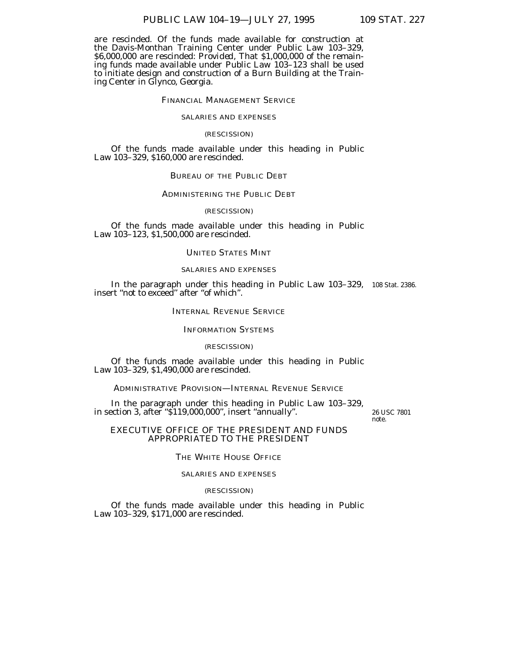are rescinded. Of the funds made available for construction at the Davis-Monthan Training Center under Public Law 103–329, \$6,000,000 are rescinded: *Provided,* That \$1,000,000 of the remaining funds made available under Public Law 103–123 shall be used to initiate design and construction of a Burn Building at the Training Center in Glynco, Georgia.

# FINANCIAL MANAGEMENT SERVICE

# SALARIES AND EXPENSES

# (RESCISSION)

Of the funds made available under this heading in Public Law 103–329, \$160,000 are rescinded.

### BUREAU OF THE PUBLIC DEBT

# ADMINISTERING THE PUBLIC DEBT

#### (RESCISSION)

Of the funds made available under this heading in Public Law 103–123, \$1,500,000 are rescinded.

### UNITED STATES MINT

# SALARIES AND EXPENSES

In the paragraph under this heading in Public Law 103–329, 108 Stat. 2386.insert ''not to exceed'' after ''of which''.

# INTERNAL REVENUE SERVICE

#### INFORMATION SYSTEMS

#### (RESCISSION)

Of the funds made available under this heading in Public Law 103–329, \$1,490,000 are rescinded.

# ADMINISTRATIVE PROVISION—INTERNAL REVENUE SERVICE

In the paragraph under this heading in Public Law 103–329, in section 3, after "\$119,000,000", insert "annually".

26 USC 7801 note.

# EXECUTIVE OFFICE OF THE PRESIDENT AND FUNDS APPROPRIATED TO THE PRESIDENT

# THE WHITE HOUSE OFFICE

# SALARIES AND EXPENSES

#### (RESCISSION)

Of the funds made available under this heading in Public Law 103–329, \$171,000 are rescinded.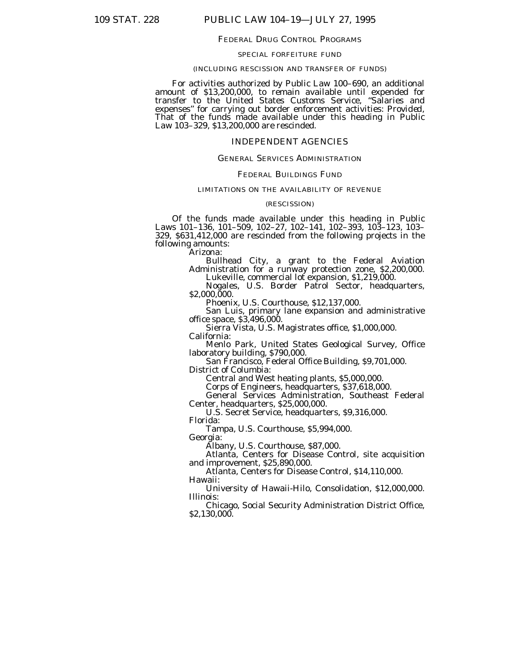#### FEDERAL DRUG CONTROL PROGRAMS

# SPECIAL FORFEITURE FUND

# (INCLUDING RESCISSION AND TRANSFER OF FUNDS)

For activities authorized by Public Law 100–690, an additional amount of \$13,200,000, to remain available until expended for transfer to the United States Customs Service, ''Salaries and expenses'' for carrying out border enforcement activities: *Provided,* That of the funds made available under this heading in Public Law 103–329, \$13,200,000 are rescinded.

# INDEPENDENT AGENCIES

# GENERAL SERVICES ADMINISTRATION

#### FEDERAL BUILDINGS FUND

### LIMITATIONS ON THE AVAILABILITY OF REVENUE

#### (RESCISSION)

Of the funds made available under this heading in Public Laws 101–136, 101–509, 102–27, 102–141, 102–393, 103–123, 103– 329, \$631,412,000 are rescinded from the following projects in the following amounts:

Arizona:<br>Bullhead City, a grant to the Federal Aviation Administration for a runway protection zone, \$2,200,000.<br>Lukeville, commercial lot expansion, \$1,219,000.

Nogales, U.S. Border Patrol Sector, headquarters, \$2,000,000.

Phoenix, U.S. Courthouse, \$12,137,000.

San Luis, primary lane expansion and administrative office space, \$3,496,000.

Sierra Vista, U.S. Magistrates office, \$1,000,000. California: laboratory building, \$790,000.<br>San Francisco, Federal Office Building, \$9,701,000.

District of Columbia:

Central and West heating plants, \$5,000,000.

Corps of Engineers, headquarters, \$37,618,000.

General Services Administration, Southeast Federal Center, headquarters, \$25,000,000.

U.S. Secret Service, headquarters, \$9,316,000.

Florida:

Tampa, U.S. Courthouse, \$5,994,000.

Georgia:

Albany, U.S. Courthouse, \$87,000.

Atlanta, Centers for Disease Control, site acquisition and improvement, \$25,890,000.

Atlanta, Centers for Disease Control, \$14,110,000. Hawaii:

University of Hawaii-Hilo, Consolidation, \$12,000,000. Illinois:

Chicago, Social Security Administration District Office, \$2,130,000.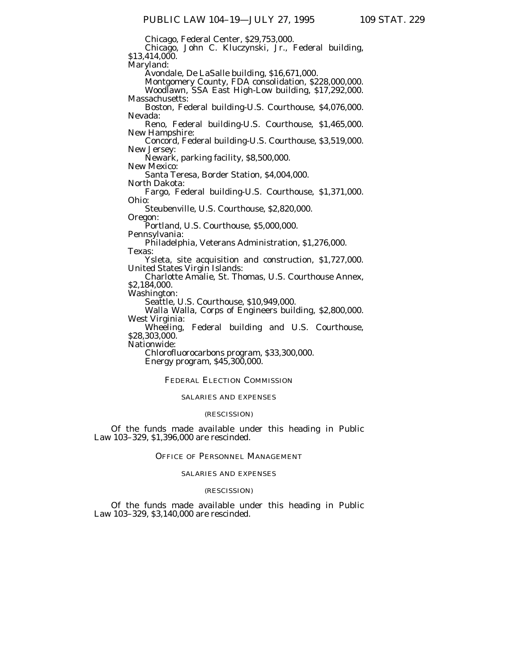Chicago, Federal Center, \$29,753,000.

Chicago, John C. Kluczynski, Jr., Federal building, \$13,414,000.

Maryland:

Avondale, De LaSalle building, \$16,671,000.

Montgomery County, FDA consolidation, \$228,000,000.

Woodlawn, SSA East High-Low building, \$17,292,000. Massachusetts:

Boston, Federal building-U.S. Courthouse, \$4,076,000. Nevada:

Reno, Federal building-U.S. Courthouse, \$1,465,000. New Hampshire:

Concord, Federal building-U.S. Courthouse, \$3,519,000. New Jersey:

Newark, parking facility, \$8,500,000.

New Mexico:

Santa Teresa, Border Station, \$4,004,000.

North Dakota:

Fargo, Federal building-U.S. Courthouse, \$1,371,000. Ohio:

Steubenville, U.S. Courthouse, \$2,820,000. Oregon:

Portland, U.S. Courthouse, \$5,000,000.

Pennsylvania:

Philadelphia, Veterans Administration, \$1,276,000. Texas:

Ysleta, site acquisition and construction, \$1,727,000. United States Virgin Islands:

Charlotte Amalie, St. Thomas, U.S. Courthouse Annex, \$2,184,000.

Washington:

Seattle, U.S. Courthouse, \$10,949,000.

Walla Walla, Corps of Engineers building, \$2,800,000. West Virginia:

Wheeling, Federal building and U.S. Courthouse, \$28,303,000.

Nationwide:

Chlorofluorocarbons program, \$33,300,000. Energy program, \$45,300,000.

# FEDERAL ELECTION COMMISSION

# SALARIES AND EXPENSES

# (RESCISSION)

Of the funds made available under this heading in Public Law 103–329, \$1,396,000 are rescinded.

# OFFICE OF PERSONNEL MANAGEMENT

### SALARIES AND EXPENSES

# (RESCISSION)

Of the funds made available under this heading in Public Law 103–329, \$3,140,000 are rescinded.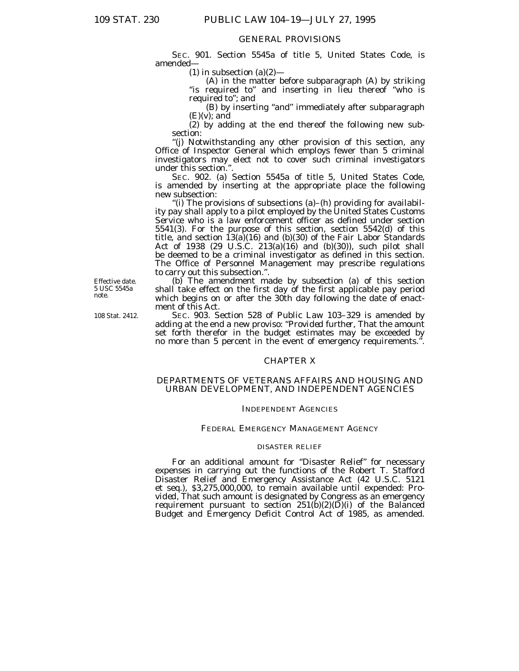# GENERAL PROVISIONS

SEC. 901. Section 5545a of title 5, United States Code, is amended—

(1) in subsection  $(a)(2)$ —

(A) in the matter before subparagraph (A) by striking "is required to" and inserting in lieu thereof "who is required to''; and

(B) by inserting ''and'' immediately after subparagraph  $(E)(v)$ ; and

(2) by adding at the end thereof the following new subsection:

''(j) Notwithstanding any other provision of this section, any Office of Inspector General which employs fewer than 5 criminal investigators may elect not to cover such criminal investigators under this section."

SEC. 902. (a) Section 5545a of title 5, United States Code, is amended by inserting at the appropriate place the following new subsection:

''(i) The provisions of subsections (a)–(h) providing for availability pay shall apply to a pilot employed by the United States Customs Service who is a law enforcement officer as defined under section 5541(3). For the purpose of this section, section 5542(d) of this title, and section 13(a)(16) and (b)(30) of the Fair Labor Standards Act of 1938 (29 U.S.C. 213(a)(16) and (b)(30)), such pilot shall be deemed to be a criminal investigator as defined in this section. The Office of Personnel Management may prescribe regulations to carry out this subsection.''.

(b) The amendment made by subsection (a) of this section shall take effect on the first day of the first applicable pay period which begins on or after the 30th day following the date of enactment of this Act.

SEC. 903. Section 528 of Public Law 103–329 is amended by adding at the end a new proviso: ''*Provided further,* That the amount set forth therefor in the budget estimates may be exceeded by no more than 5 percent in the event of emergency requirements.''.

# CHAPTER X

# DEPARTMENTS OF VETERANS AFFAIRS AND HOUSING AND URBAN DEVELOPMENT, AND INDEPENDENT AGENCIES

### INDEPENDENT AGENCIES

# FEDERAL EMERGENCY MANAGEMENT AGENCY

#### DISASTER RELIEF

For an additional amount for ''Disaster Relief'' for necessary expenses in carrying out the functions of the Robert T. Stafford Disaster Relief and Emergency Assistance Act (42 U.S.C. 5121 et seq.), \$3,275,000,000, to remain available until expended: *Provided,* That such amount is designated by Congress as an emergency requirement pursuant to section 251(b)(2)(D)(i) of the Balanced Budget and Emergency Deficit Control Act of 1985, as amended.

Effective date. 5 USC 5545a note.

108 Stat. 2412.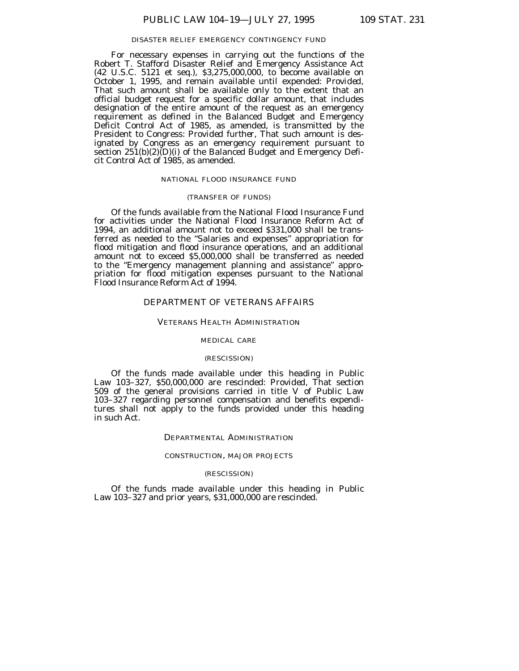### DISASTER RELIEF EMERGENCY CONTINGENCY FUND

For necessary expenses in carrying out the functions of the Robert T. Stafford Disaster Relief and Emergency Assistance Act (42 U.S.C. 5121 et seq.), \$3,275,000,000, to become available on October 1, 1995, and remain available until expended: *Provided,* That such amount shall be available only to the extent that an official budget request for a specific dollar amount, that includes designation of the entire amount of the request as an emergency requirement as defined in the Balanced Budget and Emergency Deficit Control Act of 1985, as amended, is transmitted by the President to Congress: *Provided further,* That such amount is designated by Congress as an emergency requirement pursuant to section 251(b)(2)(D)(i) of the Balanced Budget and Emergency Deficit Control Act of 1985, as amended.

### NATIONAL FLOOD INSURANCE FUND

#### (TRANSFER OF FUNDS)

Of the funds available from the National Flood Insurance Fund for activities under the National Flood Insurance Reform Act of 1994, an additional amount not to exceed \$331,000 shall be transferred as needed to the ''Salaries and expenses'' appropriation for flood mitigation and flood insurance operations, and an additional amount not to exceed \$5,000,000 shall be transferred as needed to the ''Emergency management planning and assistance'' appropriation for flood mitigation expenses pursuant to the National Flood Insurance Reform Act of 1994.

# DEPARTMENT OF VETERANS AFFAIRS

### VETERANS HEALTH ADMINISTRATION

### MEDICAL CARE

# (RESCISSION)

Of the funds made available under this heading in Public Law 103–327, \$50,000,000 are rescinded: *Provided,* That section 509 of the general provisions carried in title V of Public Law 103–327 regarding personnel compensation and benefits expenditures shall not apply to the funds provided under this heading in such Act.

# DEPARTMENTAL ADMINISTRATION

#### CONSTRUCTION, MAJOR PROJECTS

#### (RESCISSION)

Of the funds made available under this heading in Public Law 103–327 and prior years, \$31,000,000 are rescinded.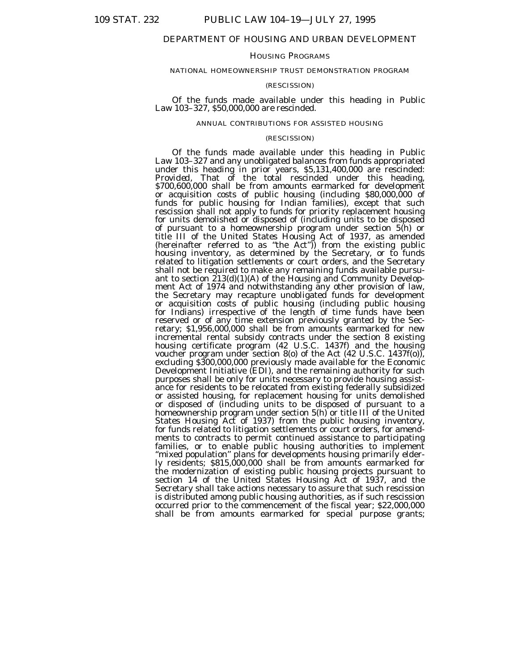# DEPARTMENT OF HOUSING AND URBAN DEVELOPMENT

# HOUSING PROGRAMS

### NATIONAL HOMEOWNERSHIP TRUST DEMONSTRATION PROGRAM

#### (RESCISSION)

# Of the funds made available under this heading in Public Law 103–327, \$50,000,000 are rescinded.

### ANNUAL CONTRIBUTIONS FOR ASSISTED HOUSING

### (RESCISSION)

Of the funds made available under this heading in Public Law 103–327 and any unobligated balances from funds appropriated under this heading in prior years, \$5,131,400,000 are rescinded: *Provided,* That of the total rescinded under this heading, \$700,600,000 shall be from amounts earmarked for development or acquisition costs of public housing (including \$80,000,000 of funds for public housing for Indian families), except that such rescission shall not apply to funds for priority replacement housing for units demolished or disposed of (including units to be disposed of pursuant to a homeownership program under section 5(h) or title III of the United States Housing Act of 1937, as amended (hereinafter referred to as ''the Act'')) from the existing public housing inventory, as determined by the Secretary, or to funds related to litigation settlements or court orders, and the Secretary shall not be required to make any remaining funds available pursuant to section  $\hat{2}13(d)(1)(A)$  of the Housing and Community Development Act of 1974 and notwithstanding any other provision of law, the Secretary may recapture unobligated funds for development or acquisition costs of public housing (including public housing for Indians) irrespective of the length of time funds have been reserved or of any time extension previously granted by the Secretary; \$1,956,000,000 shall be from amounts earmarked for new incremental rental subsidy contracts under the section 8 existing housing certificate program (42 U.S.C. 1437f) and the housing voucher program under section 8(o) of the Act (42 U.S.C. 1437f(o)), excluding \$300,000,000 previously made available for the Economic Development Initiative (EDI), and the remaining authority for such purposes shall be only for units necessary to provide housing assistance for residents to be relocated from existing federally subsidized or assisted housing, for replacement housing for units demolished or disposed of (including units to be disposed of pursuant to a homeownership program under section  $5(h)$  or title III of the United States Housing Act of 1937) from the public housing inventory, for funds related to litigation settlements or court orders, for amendments to contracts to permit continued assistance to participating families, or to enable public housing authorities to implement ''mixed population'' plans for developments housing primarily elderly residents; \$815,000,000 shall be from amounts earmarked for the modernization of existing public housing projects pursuant to section 14 of the United States Housing Act of 1937, and the Secretary shall take actions necessary to assure that such rescission is distributed among public housing authorities, as if such rescission occurred prior to the commencement of the fiscal year; \$22,000,000 shall be from amounts earmarked for special purpose grants;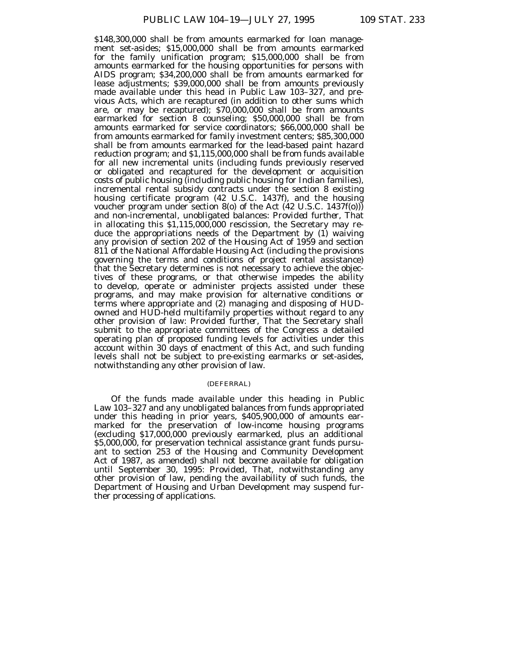\$148,300,000 shall be from amounts earmarked for loan management set-asides; \$15,000,000 shall be from amounts earmarked for the family unification program; \$15,000,000 shall be from amounts earmarked for the housing opportunities for persons with AIDS program; \$34,200,000 shall be from amounts earmarked for lease adjustments; \$39,000,000 shall be from amounts previously made available under this head in Public Law 103–327, and previous Acts, which are recaptured (in addition to other sums which are, or may be recaptured); \$70,000,000 shall be from amounts earmarked for section 8 counseling; \$50,000,000 shall be from amounts earmarked for service coordinators; \$66,000,000 shall be from amounts earmarked for family investment centers; \$85,300,000 shall be from amounts earmarked for the lead-based paint hazard reduction program; and \$1,115,000,000 shall be from funds available for all new incremental units (including funds previously reserved or obligated and recaptured for the development or acquisition costs of public housing (including public housing for Indian families), incremental rental subsidy contracts under the section 8 existing housing certificate program (42 U.S.C. 1437f), and the housing voucher program under section 8(o) of the Act (42 U.S.C. 1437f(o))) and non-incremental, unobligated balances: *Provided further,* That in allocating this \$1,115,000,000 rescission, the Secretary may reduce the appropriations needs of the Department by (1) waiving any provision of section 202 of the Housing Act of 1959 and section 811 of the National Affordable Housing Act (including the provisions governing the terms and conditions of project rental assistance) that the Secretary determines is not necessary to achieve the objectives of these programs, or that otherwise impedes the ability to develop, operate or administer projects assisted under these programs, and may make provision for alternative conditions or terms where appropriate and (2) managing and disposing of HUDowned and HUD-held multifamily properties without regard to any other provision of law: *Provided further,* That the Secretary shall submit to the appropriate committees of the Congress a detailed operating plan of proposed funding levels for activities under this account within 30 days of enactment of this Act, and such funding levels shall not be subject to pre-existing earmarks or set-asides, notwithstanding any other provision of law.

## (DEFERRAL)

Of the funds made available under this heading in Public Law 103–327 and any unobligated balances from funds appropriated under this heading in prior years, \$405,900,000 of amounts earmarked for the preservation of low-income housing programs (excluding \$17,000,000 previously earmarked, plus an additional \$5,000,000, for preservation technical assistance grant funds pursuant to section 253 of the Housing and Community Development Act of 1987, as amended) shall not become available for obligation until September 30, 1995: *Provided,* That, notwithstanding any other provision of law, pending the availability of such funds, the Department of Housing and Urban Development may suspend further processing of applications.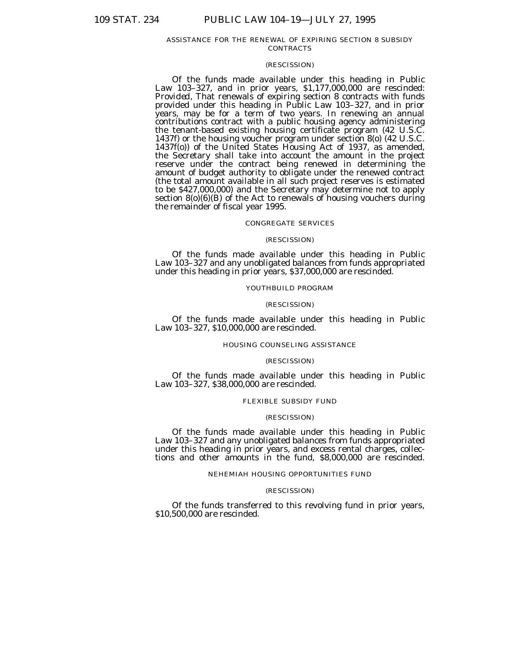#### ASSISTANCE FOR THE RENEWAL OF EXPIRING SECTION 8 SUBSIDY CONTRACTS

# (RESCISSION)

Of the funds made available under this heading in Public Law 103–327, and in prior years, \$1,177,000,000 are rescinded: *Provided,* That renewals of expiring section 8 contracts with funds provided under this heading in Public Law 103–327, and in prior years, may be for a term of two years. In renewing an annual contributions contract with a public housing agency administering the tenant-based existing housing certificate program (42 U.S.C. 1437f) or the housing voucher program under section 8(o) (42 U.S.C. 1437f(o)) of the United States Housing Act of 1937, as amended, the Secretary shall take into account the amount in the project reserve under the contract being renewed in determining the amount of budget authority to obligate under the renewed contract (the total amount available in all such project reserves is estimated to be \$427,000,000) and the Secretary may determine not to apply section  $8(0)(6)(B)$  of the Act to renewals of housing vouchers during the remainder of fiscal year 1995.

#### CONGREGATE SERVICES

#### (RESCISSION)

Of the funds made available under this heading in Public Law 103–327 and any unobligated balances from funds appropriated under this heading in prior years, \$37,000,000 are rescinded.

### YOUTHBUILD PROGRAM

#### (RESCISSION)

Of the funds made available under this heading in Public Law 103–327, \$10,000,000 are rescinded.

### HOUSING COUNSELING ASSISTANCE

#### (RESCISSION)

Of the funds made available under this heading in Public Law 103–327, \$38,000,000 are rescinded.

### FLEXIBLE SUBSIDY FUND

#### (RESCISSION)

Of the funds made available under this heading in Public Law 103–327 and any unobligated balances from funds appropriated under this heading in prior years, and excess rental charges, collections and other amounts in the fund, \$8,000,000 are rescinded.

### NEHEMIAH HOUSING OPPORTUNITIES FUND

#### (RESCISSION)

Of the funds transferred to this revolving fund in prior years, \$10,500,000 are rescinded.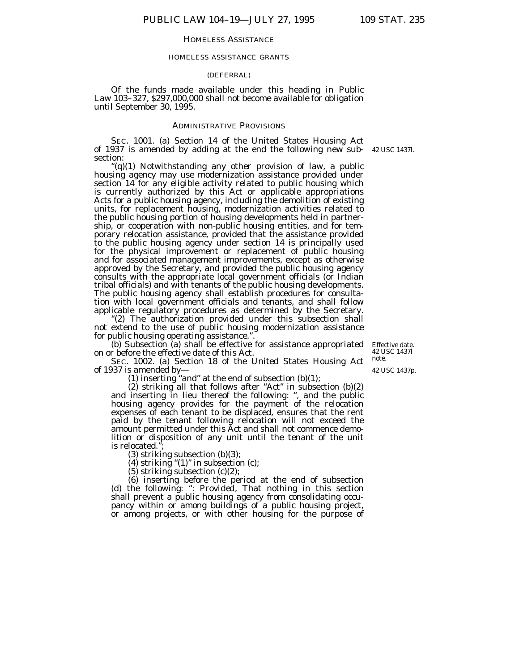#### HOMELESS ASSISTANCE

#### HOMELESS ASSISTANCE GRANTS

#### (DEFERRAL)

Of the funds made available under this heading in Public Law 103–327, \$297,000,000 shall not become available for obligation until September 30, 1995.

# ADMINISTRATIVE PROVISIONS

SEC. 1001. (a) Section 14 of the United States Housing Act of 1937 is amended by adding at the end the following new subsection:

 $'(q)(1)$  Notwithstanding any other provision of law, a public housing agency may use modernization assistance provided under section 14 for any eligible activity related to public housing which is currently authorized by this Act or applicable appropriations Acts for a public housing agency, including the demolition of existing units, for replacement housing, modernization activities related to the public housing portion of housing developments held in partnership, or cooperation with non-public housing entities, and for temporary relocation assistance, provided that the assistance provided to the public housing agency under section 14 is principally used for the physical improvement or replacement of public housing and for associated management improvements, except as otherwise approved by the Secretary, and provided the public housing agency consults with the appropriate local government officials (or Indian tribal officials) and with tenants of the public housing developments. The public housing agency shall establish procedures for consultation with local government officials and tenants, and shall follow applicable regulatory procedures as determined by the Secretary.

''(2) The authorization provided under this subsection shall not extend to the use of public housing modernization assistance for public housing operating assistance.''.

(b) Subsection (a) shall be effective for assistance appropriated on or before the effective date of this Act.

SEC. 1002. (a) Section 18 of the United States Housing Act of 1937 is amended by—

(1) inserting "and" at the end of subsection  $(b)(1)$ ;

 $(2)$  striking all that follows after "Act" in subsection  $(b)(2)$ and inserting in lieu thereof the following: '', and the public housing agency provides for the payment of the relocation expenses of each tenant to be displaced, ensures that the rent paid by the tenant following relocation will not exceed the amount permitted under this Act and shall not commence demolition or disposition of any unit until the tenant of the unit is relocated.'

(3) striking subsection (b)(3);

(4) striking " $(1)$ " in subsection  $(c)$ ;

 $(5)$  striking subsection  $(c)(2)$ ;

(6) inserting before the period at the end of subsection (d) the following: '': *Provided,* That nothing in this section shall prevent a public housing agency from consolidating occupancy within or among buildings of a public housing project, or among projects, or with other housing for the purpose of

42 USC 1437*l.*

Effective date. 42 USC 1437*l* note.

42 USC 1437p.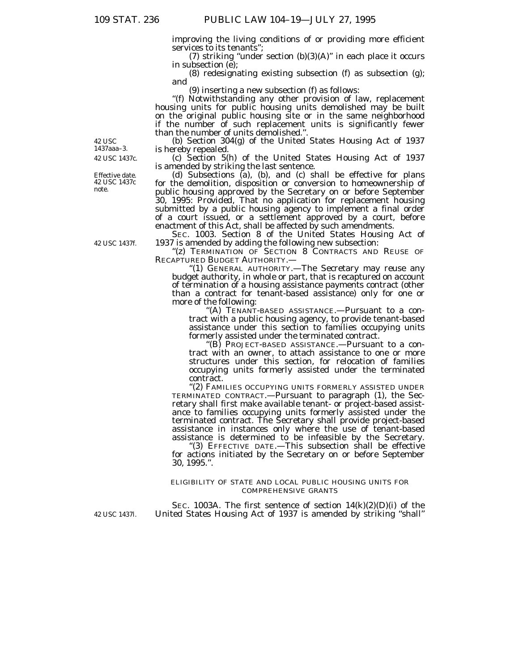improving the living conditions of or providing more efficient services to its tenants'';

(7) striking "under section (b)(3)(A)" in each place it occurs in subsection (e);

(8) redesignating existing subsection (f) as subsection (g); and

(9) inserting a new subsection (f) as follows: ''(f) Notwithstanding any other provision of law, replacement housing units for public housing units demolished may be built on the original public housing site or in the same neighborhood if the number of such replacement units is significantly fewer than the number of units demolished.''.

(b) Section 304(g) of the United States Housing Act of 1937 is hereby repealed.

(c) Section 5(h) of the United States Housing Act of 1937 is amended by striking the last sentence.

(d) Subsections (a), (b), and (c) shall be effective for plans for the demolition, disposition or conversion to homeownership of public housing approved by the Secretary on or before September 30, 1995: *Provided,* That no application for replacement housing submitted by a public housing agency to implement a final order of a court issued, or a settlement approved by a court, before enactment of this Act, shall be affected by such amendments.

SEC. 1003. Section 8 of the United States Housing Act of 1937 is amended by adding the following new subsection:

''(z) TERMINATION OF SECTION 8 CONTRACTS AND REUSE OF RECAPTURED BUDGET AUTHORITY.—

''(1) GENERAL AUTHORITY.—The Secretary may reuse any budget authority, in whole or part, that is recaptured on account of termination of a housing assistance payments contract (other than a contract for tenant-based assistance) only for one or more of the following:

''(A) TENANT-BASED ASSISTANCE.—Pursuant to a contract with a public housing agency, to provide tenant-based assistance under this section to families occupying units formerly assisted under the terminated contract.

''(B) PROJECT-BASED ASSISTANCE.—Pursuant to a contract with an owner, to attach assistance to one or more structures under this section, for relocation of families occupying units formerly assisted under the terminated contract.

"(2) FAMILIES OCCUPYING UNITS FORMERLY ASSISTED UNDER TERMINATED CONTRACT.—Pursuant to paragraph (1), the Secretary shall first make available tenant- or project-based assistance to families occupying units formerly assisted under the terminated contract. The Secretary shall provide project-based assistance in instances only where the use of tenant-based assistance is determined to be infeasible by the Secretary.

''(3) EFFECTIVE DATE.—This subsection shall be effective for actions initiated by the Secretary on or before September 30, 1995.''.

#### ELIGIBILITY OF STATE AND LOCAL PUBLIC HOUSING UNITS FOR COMPREHENSIVE GRANTS

SEC. 1003A. The first sentence of section  $14(k)(2)(D)(i)$  of the 42 USC 1437*l.* United States Housing Act of 1937 is amended by striking ''shall''

42 USC 1437c. 1437aaa–3.

42 USC

Effective date. 42 USC 1437c note.

42 USC 1437f.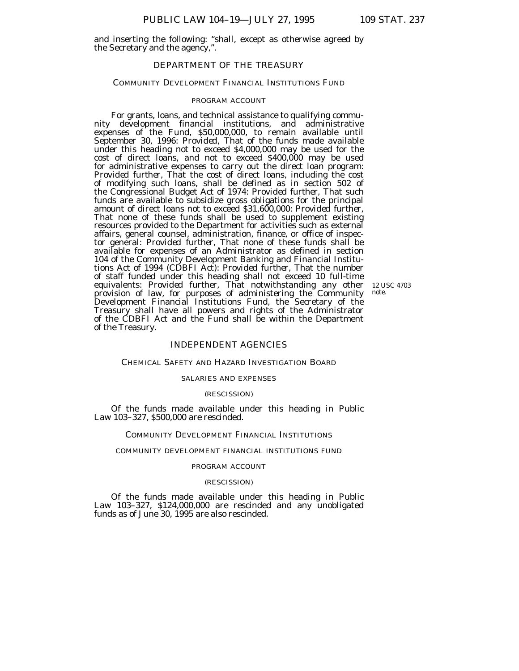and inserting the following: ''shall, except as otherwise agreed by the Secretary and the agency,''.

# DEPARTMENT OF THE TREASURY

# COMMUNITY DEVELOPMENT FINANCIAL INSTITUTIONS FUND

### PROGRAM ACCOUNT

For grants, loans, and technical assistance to qualifying community development financial institutions, and administrative expenses of the Fund, \$50,000,000, to remain available until September 30, 1996: *Provided,* That of the funds made available under this heading not to exceed \$4,000,000 may be used for the cost of direct loans, and not to exceed \$400,000 may be used for administrative expenses to carry out the direct loan program: *Provided further,* That the cost of direct loans, including the cost of modifying such loans, shall be defined as in section 502 of the Congressional Budget Act of 1974: *Provided further,* That such funds are available to subsidize gross obligations for the principal amount of direct loans not to exceed \$31,600,000: *Provided further,* That none of these funds shall be used to supplement existing resources provided to the Department for activities such as external affairs, general counsel, administration, finance, or office of inspector general: *Provided further,* That none of these funds shall be available for expenses of an Administrator as defined in section 104 of the Community Development Banking and Financial Institutions Act of 1994 (CDBFI Act): *Provided further,* That the number of staff funded under this heading shall not exceed 10 full-time equivalents: *Provided further,* That notwithstanding any other provision of law, for purposes of administering the Community Development Financial Institutions Fund, the Secretary of the Treasury shall have all powers and rights of the Administrator of the CDBFI Act and the Fund shall be within the Department of the Treasury.

12 USC 4703 note.

# INDEPENDENT AGENCIES

### CHEMICAL SAFETY AND HAZARD INVESTIGATION BOARD

### SALARIES AND EXPENSES

#### (RESCISSION)

Of the funds made available under this heading in Public Law 103–327, \$500,000 are rescinded.

### COMMUNITY DEVELOPMENT FINANCIAL INSTITUTIONS

#### COMMUNITY DEVELOPMENT FINANCIAL INSTITUTIONS FUND

#### PROGRAM ACCOUNT

#### (RESCISSION)

Of the funds made available under this heading in Public Law 103-327, \$124,000,000 are rescinded and any unobligated funds as of June 30, 1995 are also rescinded.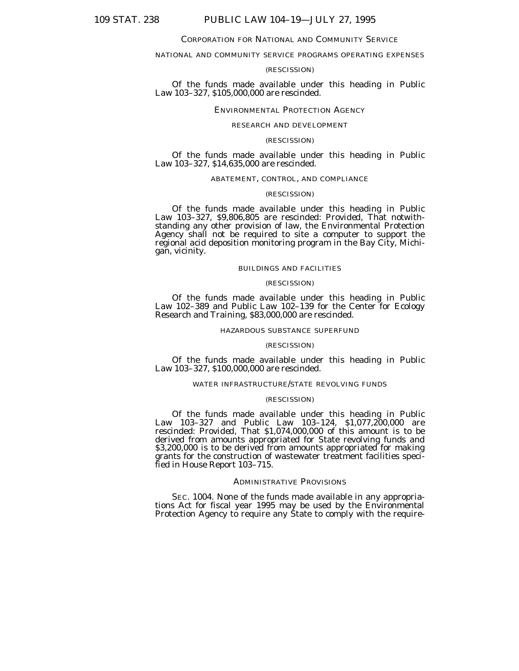#### CORPORATION FOR NATIONAL AND COMMUNITY SERVICE

# NATIONAL AND COMMUNITY SERVICE PROGRAMS OPERATING EXPENSES

#### (RESCISSION)

Of the funds made available under this heading in Public Law 103–327, \$105,000,000 are rescinded.

#### ENVIRONMENTAL PROTECTION AGENCY

#### RESEARCH AND DEVELOPMENT

#### (RESCISSION)

Of the funds made available under this heading in Public Law 103–327, \$14,635,000 are rescinded.

#### ABATEMENT, CONTROL, AND COMPLIANCE

#### (RESCISSION)

Of the funds made available under this heading in Public Law 103–327, \$9,806,805 are rescinded: *Provided*, That notwithstanding any other provision of law, the Environmental Protection Agency shall not be required to site a computer to support the regional acid deposition monitoring program in the Bay City, Michigan, vicinity.

#### BUILDINGS AND FACILITIES

#### (RESCISSION)

Of the funds made available under this heading in Public Law 102–389 and Public Law 102–139 for the Center for Ecology Research and Training, \$83,000,000 are rescinded.

#### HAZARDOUS SUBSTANCE SUPERFUND

#### (RESCISSION)

Of the funds made available under this heading in Public Law 103–327, \$100,000,000 are rescinded.

# WATER INFRASTRUCTURE/STATE REVOLVING FUNDS

#### (RESCISSION)

Of the funds made available under this heading in Public Law 103–327 and Public Law 103–124, \$1,077,200,000 are rescinded: *Provided*, That \$1,074,000,000 of this amount is to be derived from amounts appropriated for State revolving funds and \$3,200,000 is to be derived from amounts appropriated for making grants for the construction of wastewater treatment facilities specified in House Report 103–715.

#### ADMINISTRATIVE PROVISIONS

SEC. 1004. None of the funds made available in any appropriations Act for fiscal year 1995 may be used by the Environmental Protection Agency to require any State to comply with the require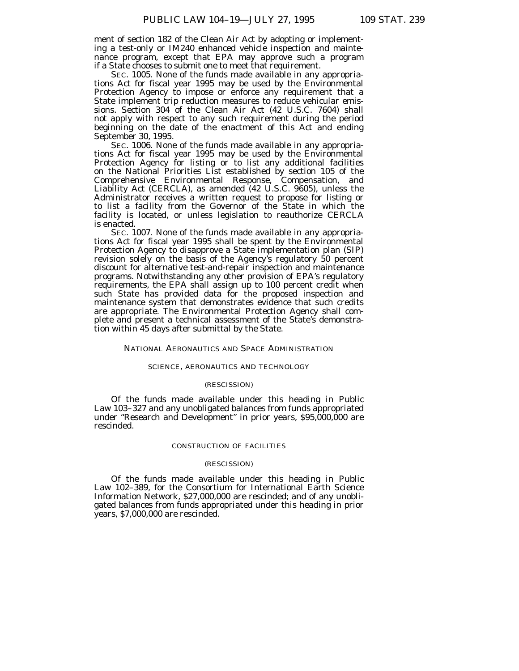ment of section 182 of the Clean Air Act by adopting or implementing a test-only or IM240 enhanced vehicle inspection and maintenance program, except that EPA may approve such a program if a State chooses to submit one to meet that requirement.

SEC. 1005. None of the funds made available in any appropriations Act for fiscal year 1995 may be used by the Environmental Protection Agency to impose or enforce any requirement that a State implement trip reduction measures to reduce vehicular emissions. Section 304 of the Clean Air Act (42 U.S.C. 7604) shall not apply with respect to any such requirement during the period beginning on the date of the enactment of this Act and ending September 30, 1995.

SEC. 1006. None of the funds made available in any appropriations Act for fiscal year 1995 may be used by the Environmental Protection Agency for listing or to list any additional facilities on the National Priorities List established by section 105 of the Comprehensive Environmental Response, Compensation, and Liability Act (CERCLA), as amended (42 U.S.C. 9605), unless the Administrator receives a written request to propose for listing or to list a facility from the Governor of the State in which the facility is located, or unless legislation to reauthorize CERCLA is enacted.

SEC. 1007. None of the funds made available in any appropriations Act for fiscal year 1995 shall be spent by the Environmental Protection Agency to disapprove a State implementation plan (SIP) revision solely on the basis of the Agency's regulatory 50 percent discount for alternative test-and-repair inspection and maintenance programs. Notwithstanding any other provision of EPA's regulatory requirements, the EPA shall assign up to 100 percent credit when such State has provided data for the proposed inspection and maintenance system that demonstrates evidence that such credits are appropriate. The Environmental Protection Agency shall complete and present a technical assessment of the State's demonstration within 45 days after submittal by the State.

# NATIONAL AERONAUTICS AND SPACE ADMINISTRATION

### SCIENCE, AERONAUTICS AND TECHNOLOGY

#### (RESCISSION)

Of the funds made available under this heading in Public Law 103–327 and any unobligated balances from funds appropriated under ''Research and Development'' in prior years, \$95,000,000 are rescinded.

# CONSTRUCTION OF FACILITIES

#### (RESCISSION)

Of the funds made available under this heading in Public Law 102–389, for the Consortium for International Earth Science Information Network, \$27,000,000 are rescinded; and of any unobligated balances from funds appropriated under this heading in prior years, \$7,000,000 are rescinded.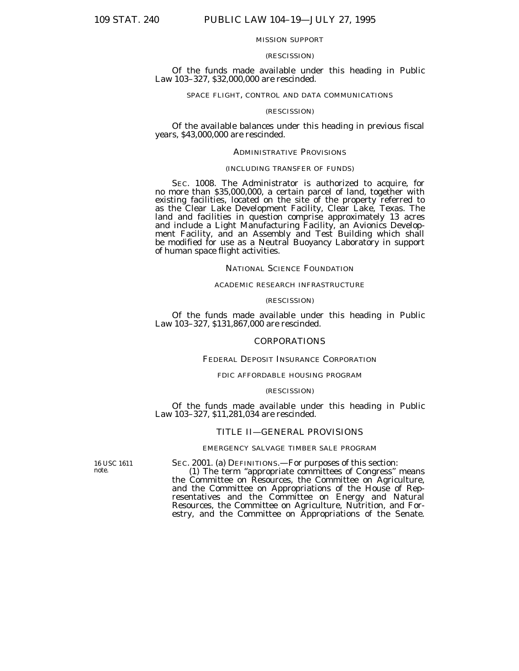#### MISSION SUPPORT

#### (RESCISSION)

Of the funds made available under this heading in Public Law 103–327, \$32,000,000 are rescinded.

SPACE FLIGHT, CONTROL AND DATA COMMUNICATIONS

#### (RESCISSION)

Of the available balances under this heading in previous fiscal years, \$43,000,000 are rescinded.

#### ADMINISTRATIVE PROVISIONS

# (INCLUDING TRANSFER OF FUNDS)

SEC. 1008. The Administrator is authorized to acquire, for no more than \$35,000,000, a certain parcel of land, together with existing facilities, located on the site of the property referred to as the Clear Lake Development Facility, Clear Lake, Texas. The land and facilities in question comprise approximately 13 acres and include a Light Manufacturing Facility, an Avionics Development Facility, and an Assembly and Test Building which shall be modified for use as a Neutral Buoyancy Laboratory in support of human space flight activities.

### NATIONAL SCIENCE FOUNDATION

# ACADEMIC RESEARCH INFRASTRUCTURE

#### (RESCISSION)

Of the funds made available under this heading in Public Law 103–327, \$131,867,000 are rescinded.

### CORPORATIONS

### FEDERAL DEPOSIT INSURANCE CORPORATION

#### FDIC AFFORDABLE HOUSING PROGRAM

#### (RESCISSION)

Of the funds made available under this heading in Public Law 103–327, \$11,281,034 are rescinded.

#### TITLE II—GENERAL PROVISIONS

#### EMERGENCY SALVAGE TIMBER SALE PROGRAM

16 USC 1611 note.

SEC. 2001. (a) DEFINITIONS.—For purposes of this section:

(1) The term ''appropriate committees of Congress'' means the Committee on Resources, the Committee on Agriculture, and the Committee on Appropriations of the House of Representatives and the Committee on Energy and Natural Resources, the Committee on Agriculture, Nutrition, and Forestry, and the Committee on Appropriations of the Senate.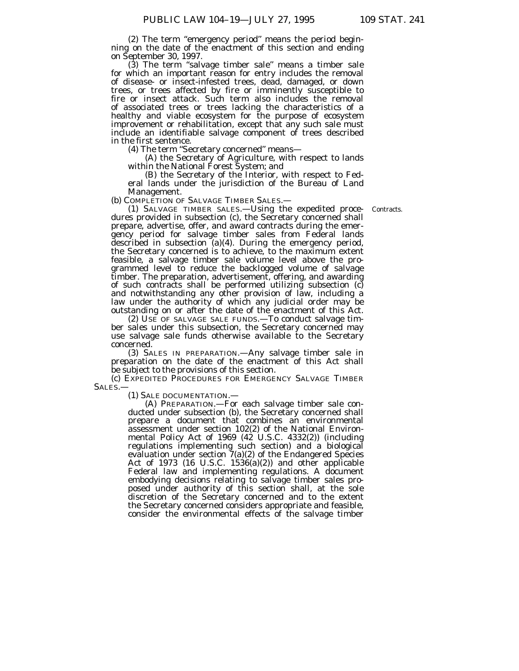(2) The term ''emergency period'' means the period beginning on the date of the enactment of this section and ending on September 30, 1997.

(3) The term ''salvage timber sale'' means a timber sale for which an important reason for entry includes the removal of disease- or insect-infested trees, dead, damaged, or down trees, or trees affected by fire or imminently susceptible to fire or insect attack. Such term also includes the removal of associated trees or trees lacking the characteristics of a healthy and viable ecosystem for the purpose of ecosystem improvement or rehabilitation, except that any such sale must include an identifiable salvage component of trees described in the first sentence.

(4) The term ''Secretary concerned'' means—

(A) the Secretary of Agriculture, with respect to lands within the National Forest System; and

(B) the Secretary of the Interior, with respect to Federal lands under the jurisdiction of the Bureau of Land Management.

(b) COMPLETION OF SALVAGE TIMBER SALES.—

Contracts.

(1) SALVAGE TIMBER SALES.—Using the expedited procedures provided in subsection (c), the Secretary concerned shall prepare, advertise, offer, and award contracts during the emergency period for salvage timber sales from Federal lands described in subsection (a)(4). During the emergency period, the Secretary concerned is to achieve, to the maximum extent feasible, a salvage timber sale volume level above the programmed level to reduce the backlogged volume of salvage timber. The preparation, advertisement, offering, and awarding of such contracts shall be performed utilizing subsection (c) and notwithstanding any other provision of law, including a law under the authority of which any judicial order may be outstanding on or after the date of the enactment of this Act.

(2) USE OF SALVAGE SALE FUNDS.—To conduct salvage timber sales under this subsection, the Secretary concerned may use salvage sale funds otherwise available to the Secretary concerned.

(3) SALES IN PREPARATION.—Any salvage timber sale in preparation on the date of the enactment of this Act shall be subject to the provisions of this section.

(c) EXPEDITED PROCEDURES FOR EMERGENCY SALVAGE TIMBER SALES.—

(1) SALE DOCUMENTATION.—

(A) PREPARATION.—For each salvage timber sale conducted under subsection (b), the Secretary concerned shall prepare a document that combines an environmental assessment under section 102(2) of the National Environmental Policy Act of 1969 (42 U.S.C. 4332(2)) (including regulations implementing such section) and a biological evaluation under section 7(a)(2) of the Endangered Species Act of 1973 (16 U.S.C. 1536 $(a)(2)$ ) and other applicable Federal law and implementing regulations. A document embodying decisions relating to salvage timber sales proposed under authority of this section shall, at the sole discretion of the Secretary concerned and to the extent the Secretary concerned considers appropriate and feasible, consider the environmental effects of the salvage timber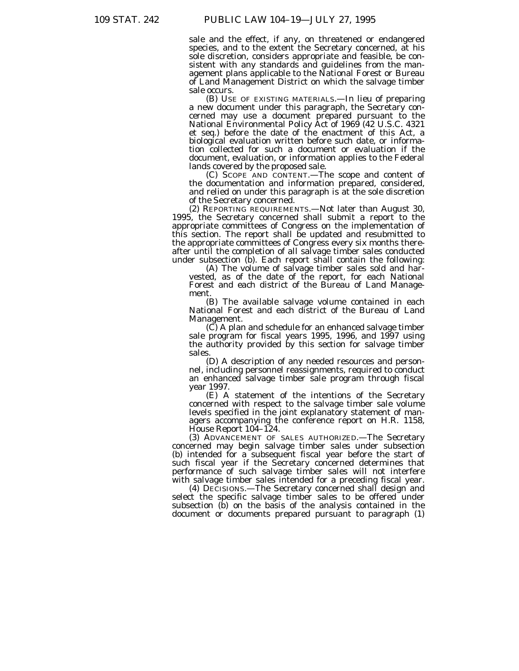sale and the effect, if any, on threatened or endangered species, and to the extent the Secretary concerned, at his sole discretion, considers appropriate and feasible, be consistent with any standards and guidelines from the management plans applicable to the National Forest or Bureau of Land Management District on which the salvage timber sale occurs.

(B) USE OF EXISTING MATERIALS.—In lieu of preparing a new document under this paragraph, the Secretary concerned may use a document prepared pursuant to the National Environmental Policy Act of 1969 (42 U.S.C. 4321 et seq.) before the date of the enactment of this Act, a biological evaluation written before such date, or information collected for such a document or evaluation if the document, evaluation, or information applies to the Federal lands covered by the proposed sale.

(C) SCOPE AND CONTENT.—The scope and content of the documentation and information prepared, considered, and relied on under this paragraph is at the sole discretion of the Secretary concerned.

(2) REPORTING REQUIREMENTS. - Not later than August 30, 1995, the Secretary concerned shall submit a report to the appropriate committees of Congress on the implementation of this section. The report shall be updated and resubmitted to the appropriate committees of Congress every six months thereafter until the completion of all salvage timber sales conducted under subsection (b). Each report shall contain the following:

(A) The volume of salvage timber sales sold and harvested, as of the date of the report, for each National Forest and each district of the Bureau of Land Management.

(B) The available salvage volume contained in each National Forest and each district of the Bureau of Land Management.

(C) A plan and schedule for an enhanced salvage timber sale program for fiscal years 1995, 1996, and 1997 using the authority provided by this section for salvage timber sales

(D) A description of any needed resources and personnel, including personnel reassignments, required to conduct an enhanced salvage timber sale program through fiscal year 1997.

(E) A statement of the intentions of the Secretary concerned with respect to the salvage timber sale volume levels specified in the joint explanatory statement of managers accompanying the conference report on H.R. 1158, House Report 104–124.

(3) ADVANCEMENT OF SALES AUTHORIZED.—The Secretary concerned may begin salvage timber sales under subsection (b) intended for a subsequent fiscal year before the start of such fiscal year if the Secretary concerned determines that performance of such salvage timber sales will not interfere with salvage timber sales intended for a preceding fiscal year.

(4) DECISIONS.—The Secretary concerned shall design and select the specific salvage timber sales to be offered under subsection (b) on the basis of the analysis contained in the document or documents prepared pursuant to paragraph (1)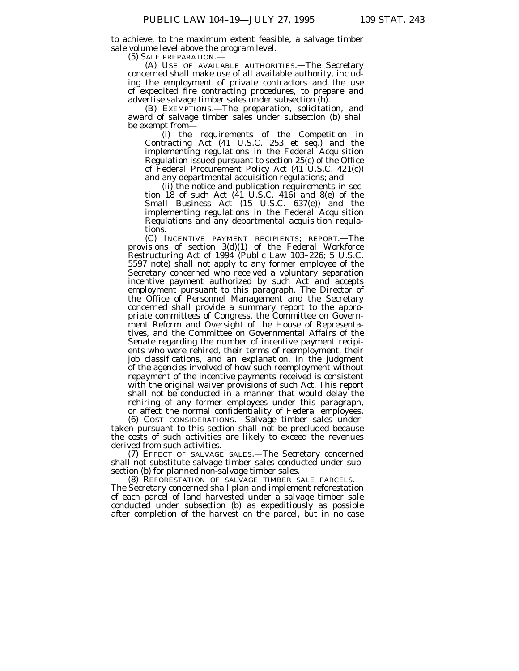to achieve, to the maximum extent feasible, a salvage timber sale volume level above the program level.

(5) SALE PREPARATION.—

(A) USE OF AVAILABLE AUTHORITIES.—The Secretary concerned shall make use of all available authority, including the employment of private contractors and the use of expedited fire contracting procedures, to prepare and advertise salvage timber sales under subsection (b).

(B) EXEMPTIONS.—The preparation, solicitation, and award of salvage timber sales under subsection (b) shall be exempt from—

(i) the requirements of the Competition in Contracting Act (41 U.S.C. 253 et seq.) and the implementing regulations in the Federal Acquisition Regulation issued pursuant to section 25(c) of the Office of Federal Procurement Policy Act (41 U.S.C. 421(c)) and any departmental acquisition regulations; and

(ii) the notice and publication requirements in section  $18$  of such Act  $(41 \text{ U.S.C. } 416)$  and  $8(e)$  of the Small Business Act (15 U.S.C. 637(e)) and the implementing regulations in the Federal Acquisition Regulations and any departmental acquisition regulations.

(C) INCENTIVE PAYMENT RECIPIENTS; REPORT.—The provisions of section 3(d)(1) of the Federal Workforce Restructuring Act of 1994 (Public Law 103–226; 5 U.S.C. 5597 note) shall not apply to any former employee of the Secretary concerned who received a voluntary separation incentive payment authorized by such Act and accepts employment pursuant to this paragraph. The Director of the Office of Personnel Management and the Secretary concerned shall provide a summary report to the appropriate committees of Congress, the Committee on Government Reform and Oversight of the House of Representatives, and the Committee on Governmental Affairs of the Senate regarding the number of incentive payment recipients who were rehired, their terms of reemployment, their job classifications, and an explanation, in the judgment of the agencies involved of how such reemployment without repayment of the incentive payments received is consistent with the original waiver provisions of such Act. This report shall not be conducted in a manner that would delay the rehiring of any former employees under this paragraph, or affect the normal confidentiality of Federal employees.

(6) COST CONSIDERATIONS.—Salvage timber sales undertaken pursuant to this section shall not be precluded because the costs of such activities are likely to exceed the revenues derived from such activities.

(7) EFFECT OF SALVAGE SALES.—The Secretary concerned shall not substitute salvage timber sales conducted under subsection (b) for planned non-salvage timber sales.

(8) REFORESTATION OF SALVAGE TIMBER SALE PARCELS.— The Secretary concerned shall plan and implement reforestation of each parcel of land harvested under a salvage timber sale conducted under subsection (b) as expeditiously as possible after completion of the harvest on the parcel, but in no case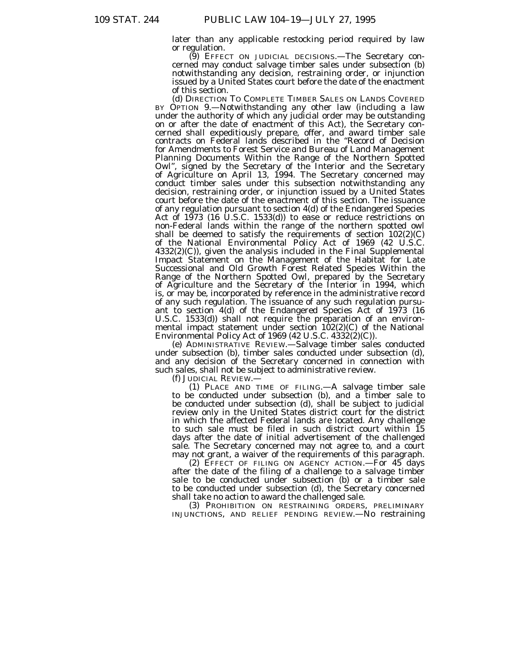later than any applicable restocking period required by law or regulation.

 $(9)$  EFFECT ON JUDICIAL DECISIONS.—The Secretary concerned may conduct salvage timber sales under subsection  $(b)$ notwithstanding any decision, restraining order, or injunction issued by a United States court before the date of the enactment of this section.

(d) DIRECTION TO COMPLETE TIMBER SALES ON LANDS COVERED BY OPTION 9.—Notwithstanding any other law (including a law under the authority of which any judicial order may be outstanding on or after the date of enactment of this Act), the Secretary concerned shall expeditiously prepare, offer, and award timber sale contracts on Federal lands described in the ''Record of Decision for Amendments to Forest Service and Bureau of Land Management Planning Documents Within the Range of the Northern Spotted Owl'', signed by the Secretary of the Interior and the Secretary of Agriculture on April 13, 1994. The Secretary concerned may conduct timber sales under this subsection notwithstanding any decision, restraining order, or injunction issued by a United States court before the date of the enactment of this section. The issuance of any regulation pursuant to section 4(d) of the Endangered Species Act of 1973 (16 U.S.C. 1533(d)) to ease or reduce restrictions on non-Federal lands within the range of the northern spotted owl shall be deemed to satisfy the requirements of section 102(2)(C) of the National Environmental Policy Act of 1969 (42 U.S.C. 4332(2)(C)), given the analysis included in the Final Supplemental Impact Statement on the Management of the Habitat for Late Successional and Old Growth Forest Related Species Within the Range of the Northern Spotted Owl, prepared by the Secretary of Agriculture and the Secretary of the Interior in 1994, which is, or may be, incorporated by reference in the administrative record of any such regulation. The issuance of any such regulation pursuant to section 4(d) of the Endangered Species Act of 1973 (16 U.S.C. 1533(d)) shall not require the preparation of an environmental impact statement under section 102(2)(C) of the National Environmental Policy Act of 1969 (42 U.S.C.  $4\overline{3}3\overline{2}(2)(C)$ ).

(e) ADMINISTRATIVE REVIEW.—Salvage timber sales conducted under subsection (b), timber sales conducted under subsection (d), and any decision of the Secretary concerned in connection with such sales, shall not be subject to administrative review.

(f) JUDICIAL REVIEW.—

(1) PLACE AND TIME OF FILING.—A salvage timber sale to be conducted under subsection (b), and a timber sale to be conducted under subsection (d), shall be subject to judicial review only in the United States district court for the district in which the affected Federal lands are located. Any challenge to such sale must be filed in such district court within 15 days after the date of initial advertisement of the challenged sale. The Secretary concerned may not agree to, and a court may not grant, a waiver of the requirements of this paragraph.

(2) EFFECT OF FILING ON AGENCY ACTION.—For 45 days after the date of the filing of a challenge to a salvage timber sale to be conducted under subsection (b) or a timber sale to be conducted under subsection (d), the Secretary concerned shall take no action to award the challenged sale.

(3) PROHIBITION ON RESTRAINING ORDERS, PRELIMINARY INJUNCTIONS, AND RELIEF PENDING REVIEW.—No restraining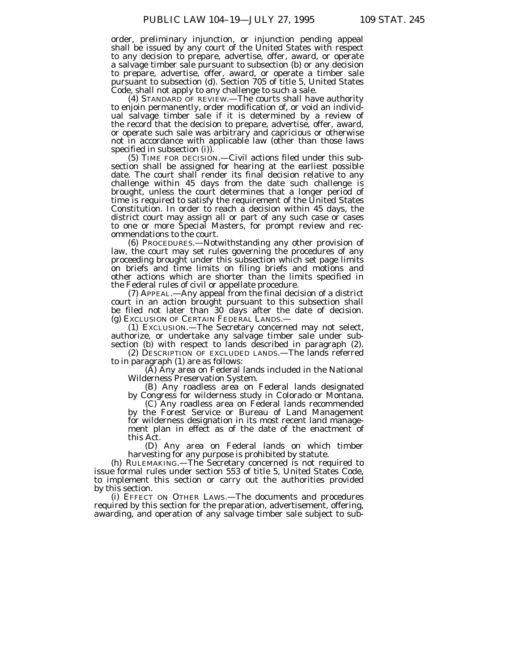order, preliminary injunction, or injunction pending appeal shall be issued by any court of the United States with respect to any decision to prepare, advertise, offer, award, or operate a salvage timber sale pursuant to subsection (b) or any decision to prepare, advertise, offer, award, or operate a timber sale pursuant to subsection (d). Section 705 of title 5, United States Code, shall not apply to any challenge to such a sale. (4) STANDARD OF REVIEW.—The courts shall have authority

to enjoin permanently, order modification of, or void an individual salvage timber sale if it is determined by a review of the record that the decision to prepare, advertise, offer, award, or operate such sale was arbitrary and capricious or otherwise not in accordance with applicable law (other than those laws specified in subsection (i)).

(5) TIME FOR DECISION.—Civil actions filed under this subsection shall be assigned for hearing at the earliest possible date. The court shall render its final decision relative to any challenge within 45 days from the date such challenge is brought, unless the court determines that a longer period of time is required to satisfy the requirement of the United States Constitution. In order to reach a decision within 45 days, the district court may assign all or part of any such case or cases to one or more Special Masters, for prompt review and recommendations to the court.

(6) PROCEDURES.—Notwithstanding any other provision of law, the court may set rules governing the procedures of any proceeding brought under this subsection which set page limits on briefs and time limits on filing briefs and motions and other actions which are shorter than the limits specified in the Federal rules of civil or appellate procedure.

(7) APPEAL.—Any appeal from the final decision of a district court in an action brought pursuant to this subsection shall be filed not later than 30 days after the date of decision. (g) EXCLUSION OF CERTAIN FEDERAL LANDS.—

(1) EXCLUSION.—The Secretary concerned may not select, authorize, or undertake any salvage timber sale under subsection (b) with respect to lands described in paragraph (2).

(2) DESCRIPTION OF EXCLUDED LANDS.—The lands referred to in paragraph (1) are as follows:

(A) Any area on Federal lands included in the National Wilderness Preservation System.

(B) Any roadless area on Federal lands designated by Congress for wilderness study in Colorado or Montana.

(C) Any roadless area on Federal lands recommended by the Forest Service or Bureau of Land Management for wilderness designation in its most recent land management plan in effect as of the date of the enactment of this Act.

(D) Any area on Federal lands on which timber harvesting for any purpose is prohibited by statute.

(h) RULEMAKING.—The Secretary concerned is not required to issue formal rules under section 553 of title 5, United States Code, to implement this section or carry out the authorities provided by this section.

(i) EFFECT ON OTHER LAWS.—The documents and procedures required by this section for the preparation, advertisement, offering, awarding, and operation of any salvage timber sale subject to sub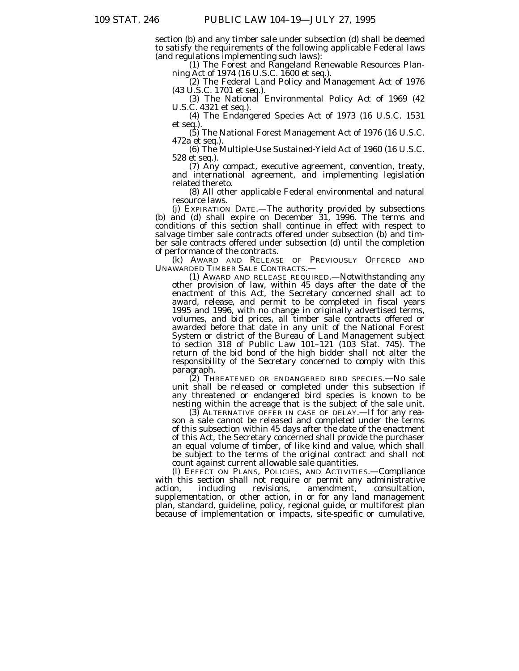section (b) and any timber sale under subsection (d) shall be deemed to satisfy the requirements of the following applicable Federal laws<br>(and regulations implementing such laws):

(1) The Forest and Rangeland Renewable Resources Plan-<br>ning Act of 1974 (16 U.S.C. 1600 et seq.).<br>(2) The Federal Land Policy and Management Act of 1976<br>(43 U.S.C. 1701 et seq.).

(3) The National Environmental Policy Act of 1969 (42 U.S.C. 4321 et seq.).

(4) The Endangered Species Act of 1973 (16 U.S.C. 1531 et seq.).

(5) The National Forest Management Act of 1976 (16 U.S.C. 472a et seq.).

(6) The Multiple-Use Sustained-Yield Act of 1960 (16 U.S.C. 528 et seq.).

(7) Any compact, executive agreement, convention, treaty, and international agreement, and implementing legislation related thereto.

(8) All other applicable Federal environmental and natural resource laws.

(j) EXPIRATION DATE.—The authority provided by subsections (b) and (d) shall expire on December 31, 1996. The terms and conditions of this section shall continue in effect with respect to salvage timber sale contracts offered under subsection (b) and timber sale contracts offered under subsection (d) until the completion of performance of the contracts.

(k) AWARD AND RELEASE OF PREVIOUSLY OFFERED AND UNAWARDED TIMBER SALE CONTRACTS.—

(1) AWARD AND RELEASE REQUIRED.—Notwithstanding any other provision of law, within 45 days after the date of the enactment of this Act, the Secretary concerned shall act to award, release, and permit to be completed in fiscal years 1995 and 1996, with no change in originally advertised terms, volumes, and bid prices, all timber sale contracts offered or awarded before that date in any unit of the National Forest System or district of the Bureau of Land Management subject to section 318 of Public Law 101–121 (103 Stat. 745). The return of the bid bond of the high bidder shall not alter the responsibility of the Secretary concerned to comply with this paragraph.

(2) THREATENED OR ENDANGERED BIRD SPECIES.—No sale unit shall be released or completed under this subsection if any threatened or endangered bird species is known to be nesting within the acreage that is the subject of the sale unit.

(3) ALTERNATIVE OFFER IN CASE OF DELAY.—If for any reason a sale cannot be released and completed under the terms of this subsection within 45 days after the date of the enactment of this Act, the Secretary concerned shall provide the purchaser an equal volume of timber, of like kind and value, which shall be subject to the terms of the original contract and shall not count against current allowable sale quantities.

(l) EFFECT ON PLANS, POLICIES, AND ACTIVITIES.—Compliance with this section shall not require or permit any administrative action, including revisions, amendment, consultation, supplementation, or other action, in or for any land management plan, standard, guideline, policy, regional guide, or multiforest plan because of implementation or impacts, site-specific or cumulative,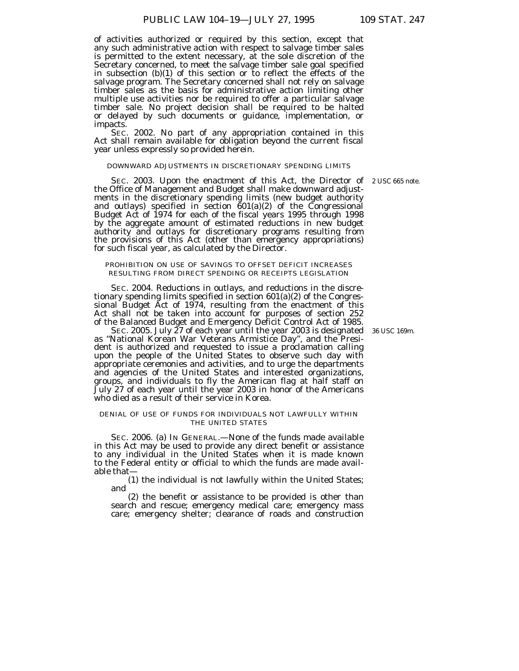of activities authorized or required by this section, except that any such administrative action with respect to salvage timber sales is permitted to the extent necessary, at the sole discretion of the Secretary concerned, to meet the salvage timber sale goal specified in subsection (b)(1) of this section or to reflect the effects of the salvage program. The Secretary concerned shall not rely on salvage timber sales as the basis for administrative action limiting other multiple use activities nor be required to offer a particular salvage timber sale. No project decision shall be required to be halted or delayed by such documents or guidance, implementation, or impacts.

SEC. 2002. No part of any appropriation contained in this Act shall remain available for obligation beyond the current fiscal year unless expressly so provided herein.

### DOWNWARD ADJUSTMENTS IN DISCRETIONARY SPENDING LIMITS

SEC. 2003. Upon the enactment of this Act, the Director of 2 USC 665 note.the Office of Management and Budget shall make downward adjustments in the discretionary spending limits (new budget authority and outlays) specified in section  $601(a)(2)$  of the Congressional Budget Act of 1974 for each of the fiscal years 1995 through 1998 by the aggregate amount of estimated reductions in new budget authority and outlays for discretionary programs resulting from the provisions of this Act (other than emergency appropriations) for such fiscal year, as calculated by the Director.

#### PROHIBITION ON USE OF SAVINGS TO OFFSET DEFICIT INCREASES RESULTING FROM DIRECT SPENDING OR RECEIPTS LEGISLATION

SEC. 2004. Reductions in outlays, and reductions in the discretionary spending limits specified in section  $601(a)(2)$  of the Congressional Budget Act of 1974, resulting from the enactment of this Act shall not be taken into account for purposes of section 252 of the Balanced Budget and Emergency Deficit Control Act of 1985.

SEC. 2005. July 27 of each year until the year 2003 is designated as ''National Korean War Veterans Armistice Day'', and the President is authorized and requested to issue a proclamation calling upon the people of the United States to observe such day with appropriate ceremonies and activities, and to urge the departments and agencies of the United States and interested organizations, groups, and individuals to fly the American flag at half staff on July 27 of each year until the year 2003 in honor of the Americans who died as a result of their service in Korea.

### DENIAL OF USE OF FUNDS FOR INDIVIDUALS NOT LAWFULLY WITHIN THE UNITED STATES

SEC. 2006. (a) IN GENERAL.—None of the funds made available in this Act may be used to provide any direct benefit or assistance to any individual in the United States when it is made known to the Federal entity or official to which the funds are made available that—

(1) the individual is not lawfully within the United States; and

(2) the benefit or assistance to be provided is other than search and rescue; emergency medical care; emergency mass care; emergency shelter; clearance of roads and construction

36 USC 169m.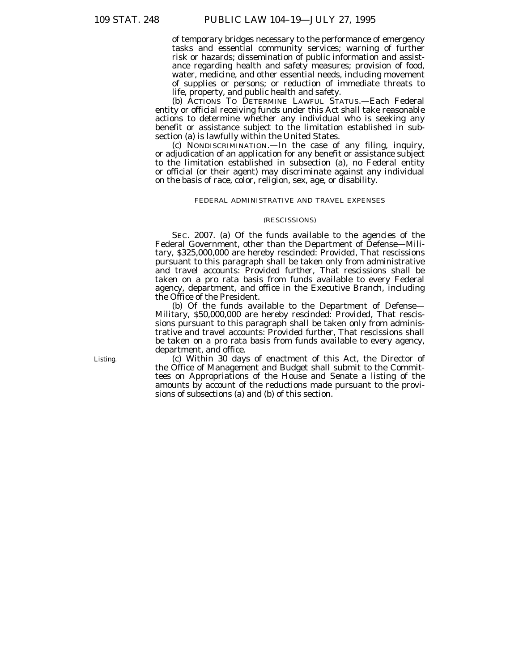of temporary bridges necessary to the performance of emergency tasks and essential community services; warning of further risk or hazards; dissemination of public information and assistance regarding health and safety measures; provision of food, water, medicine, and other essential needs, including movement of supplies or persons; or reduction of immediate threats to life, property, and public health and safety.

(b) ACTIONS TO DETERMINE LAWFUL STATUS.—Each Federal entity or official receiving funds under this Act shall take reasonable actions to determine whether any individual who is seeking any benefit or assistance subject to the limitation established in subsection (a) is lawfully within the United States.

(c) NONDISCRIMINATION.—In the case of any filing, inquiry, or adjudication of an application for any benefit or assistance subject to the limitation established in subsection (a), no Federal entity or official (or their agent) may discriminate against any individual on the basis of race, color, religion, sex, age, or disability.

#### FEDERAL ADMINISTRATIVE AND TRAVEL EXPENSES

#### (RESCISSIONS)

SEC. 2007. (a) Of the funds available to the agencies of the Federal Government, other than the Department of Defense—Military, \$325,000,000 are hereby rescinded: *Provided,* That rescissions pursuant to this paragraph shall be taken only from administrative and travel accounts: *Provided further,* That rescissions shall be taken on a pro rata basis from funds available to every Federal agency, department, and office in the Executive Branch, including the Office of the President.

(b) Of the funds available to the Department of Defense— Military, \$50,000,000 are hereby rescinded: *Provided,* That rescissions pursuant to this paragraph shall be taken only from administrative and travel accounts: *Provided further,* That rescissions shall be taken on a pro rata basis from funds available to every agency, department, and office.

(c) Within 30 days of enactment of this Act, the Director of the Office of Management and Budget shall submit to the Committees on Appropriations of the House and Senate a listing of the amounts by account of the reductions made pursuant to the provisions of subsections (a) and (b) of this section.

Listing.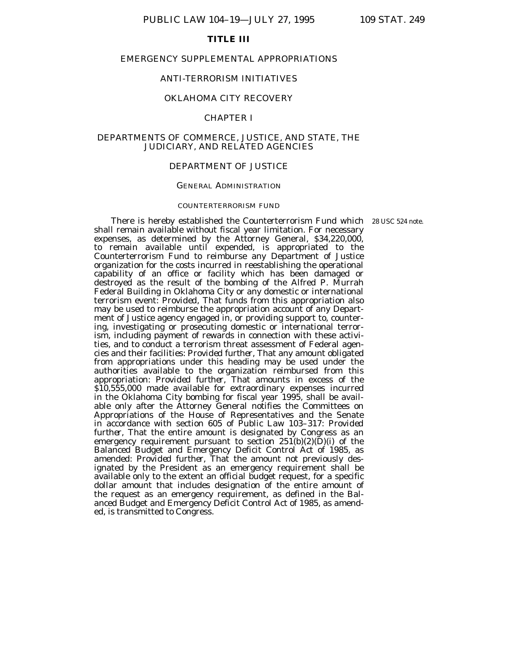# **TITLE III**

# EMERGENCY SUPPLEMENTAL APPROPRIATIONS

# ANTI-TERRORISM INITIATIVES

# OKLAHOMA CITY RECOVERY

# CHAPTER I

# DEPARTMENTS OF COMMERCE, JUSTICE, AND STATE, THE JUDICIARY, AND RELATED AGENCIES

# DEPARTMENT OF JUSTICE

# GENERAL ADMINISTRATION

# COUNTERTERRORISM FUND

There is hereby established the Counterterrorism Fund which 28 USC 524 note.shall remain available without fiscal year limitation. For necessary expenses, as determined by the Attorney General, \$34,220,000, to remain available until expended, is appropriated to the Counterterrorism Fund to reimburse any Department of Justice organization for the costs incurred in reestablishing the operational capability of an office or facility which has been damaged or destroyed as the result of the bombing of the Alfred P. Murrah Federal Building in Oklahoma City or any domestic or international terrorism event: *Provided,* That funds from this appropriation also may be used to reimburse the appropriation account of any Department of Justice agency engaged in, or providing support to, countering, investigating or prosecuting domestic or international terrorism, including payment of rewards in connection with these activities, and to conduct a terrorism threat assessment of Federal agencies and their facilities: *Provided further,* That any amount obligated from appropriations under this heading may be used under the authorities available to the organization reimbursed from this appropriation: *Provided further,* That amounts in excess of the \$10,555,000 made available for extraordinary expenses incurred in the Oklahoma City bombing for fiscal year 1995, shall be available only after the Attorney General notifies the Committees on Appropriations of the House of Representatives and the Senate in accordance with section 605 of Public Law 103–317: *Provided further,* That the entire amount is designated by Congress as an emergency requirement pursuant to section  $251(b)(2)(D)(i)$  of the Balanced Budget and Emergency Deficit Control Act of 1985, as amended: *Provided further,* That the amount not previously designated by the President as an emergency requirement shall be available only to the extent an official budget request, for a specific dollar amount that includes designation of the entire amount of the request as an emergency requirement, as defined in the Balanced Budget and Emergency Deficit Control Act of 1985, as amended, is transmitted to Congress.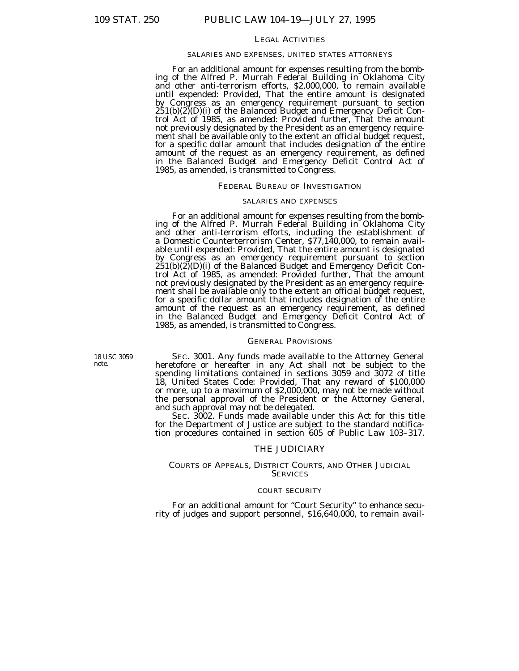#### LEGAL ACTIVITIES

### SALARIES AND EXPENSES, UNITED STATES ATTORNEYS

For an additional amount for expenses resulting from the bomb- ing of the Alfred P. Murrah Federal Building in Oklahoma City and other anti-terrorism efforts, \$2,000,000, to remain available until expended: *Provided*, That the entire amount is designated until expended: *Provided,* That the entire amount is designated by Congress as an emergency requirement pursuant to section 251(b)(2)(D)(i) of the Balanced Budget and Emergency Deficit Control Act of 1985, as amended: *Provided further,* That the amount not previously designated by the President as an emergency requirement shall be available only to the extent an official budget request, for a specific dollar amount that includes designation of the entire amount of the request as an emergency requirement, as defined in the Balanced Budget and Emergency Deficit Control Act of 1985, as amended, is transmitted to Congress.

### FEDERAL BUREAU OF INVESTIGATION

#### SALARIES AND EXPENSES

For an additional amount for expenses resulting from the bomb- ing of the Alfred P. Murrah Federal Building in Oklahoma City and other anti-terrorism efforts, including the establishment of a Domestic Counterterrorism Center, \$77,140,000, to remain available until expended: *Provided,* That the entire amount is designated by Congress as an emergency requirement pursuant to section  $251(b)(2)(D)(i)$  of the Balanced Budget and Emergency Deficit Control Act of 1985, as amended: *Provided further,* That the amount not previously designated by the President as an emergency requirement shall be available only to the extent an official budget request, for a specific dollar amount that includes designation of the entire amount of the request as an emergency requirement, as defined in the Balanced Budget and Emergency Deficit Control Act of 1985, as amended, is transmitted to Congress.

#### GENERAL PROVISIONS

18 USC 3059 note.

SEC. 3001. Any funds made available to the Attorney General heretofore or hereafter in any Act shall not be subject to the spending limitations contained in sections 3059 and 3072 of title 18, United States Code: *Provided,* That any reward of \$100,000 or more, up to a maximum of \$2,000,000, may not be made without the personal approval of the President or the Attorney General, and such approval may not be delegated.

SEC. 3002. Funds made available under this Act for this title for the Department of Justice are subject to the standard notification procedures contained in section 605 of Public Law 103–317.

#### THE JUDICIARY

#### COURTS OF APPEALS, DISTRICT COURTS, AND OTHER JUDICIAL **SERVICES**

#### COURT SECURITY

For an additional amount for "Court Security" to enhance security of judges and support personnel, \$16,640,000, to remain avail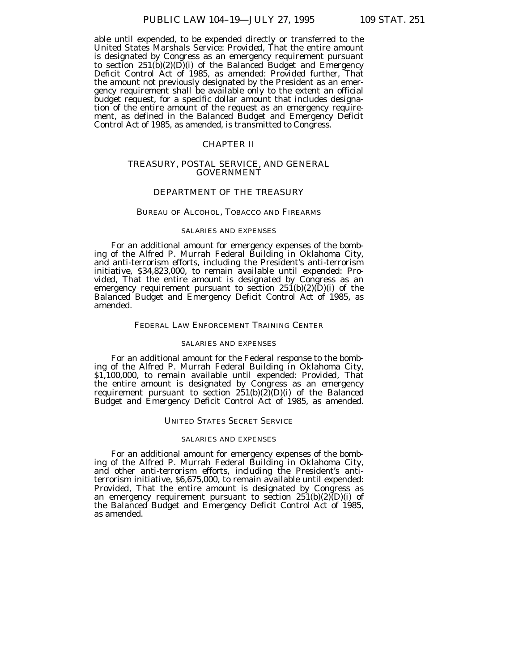able until expended, to be expended directly or transferred to the United States Marshals Service: *Provided,* That the entire amount is designated by Congress as an emergency requirement pursuant to section  $251(b)(2)(D)(i)$  of the Balanced Budget and Emergency Deficit Control Act of 1985, as amended: *Provided further*, That the amount not previously designated by the President as an emergency requirement shall be available only to the extent an official budget request, for a specific dollar amount that includes designation of the entire amount of the request as an emergency requirement, as defined in the Balanced Budget and Emergency Deficit Control Act of 1985, as amended, is transmitted to Congress.

# CHAPTER II

# TREASURY, POSTAL SERVICE, AND GENERAL GOVERNMENT

# DEPARTMENT OF THE TREASURY

# BUREAU OF ALCOHOL, TOBACCO AND FIREARMS

#### SALARIES AND EXPENSES

For an additional amount for emergency expenses of the bombing of the Alfred P. Murrah Federal Building in Oklahoma City, and anti-terrorism efforts, including the President's anti-terrorism initiative, \$34,823,000, to remain available until expended: *Provided,* That the entire amount is designated by Congress as an emergency requirement pursuant to section  $25\tilde{1}(b)(2)(D)(i)$  of the Balanced Budget and Emergency Deficit Control Act of 1985, as amended.

### FEDERAL LAW ENFORCEMENT TRAINING CENTER

#### SALARIES AND EXPENSES

For an additional amount for the Federal response to the bombing of the Alfred P. Murrah Federal Building in Oklahoma City, \$1,100,000, to remain available until expended: *Provided,* That the entire amount is designated by Congress as an emergency requirement pursuant to section 251(b)(2)(D)(i) of the Balanced Budget and Emergency Deficit Control Act of 1985, as amended.

# UNITED STATES SECRET SERVICE

# SALARIES AND EXPENSES

For an additional amount for emergency expenses of the bombing of the Alfred P. Murrah Federal Building in Oklahoma City, and other anti-terrorism efforts, including the President's antiterrorism initiative, \$6,675,000, to remain available until expended: *Provided,* That the entire amount is designated by Congress as an emergency requirement pursuant to section  $251(b)(2)(D)(i)$  of the Balanced Budget and Emergency Deficit Control Act of 1985, as amended.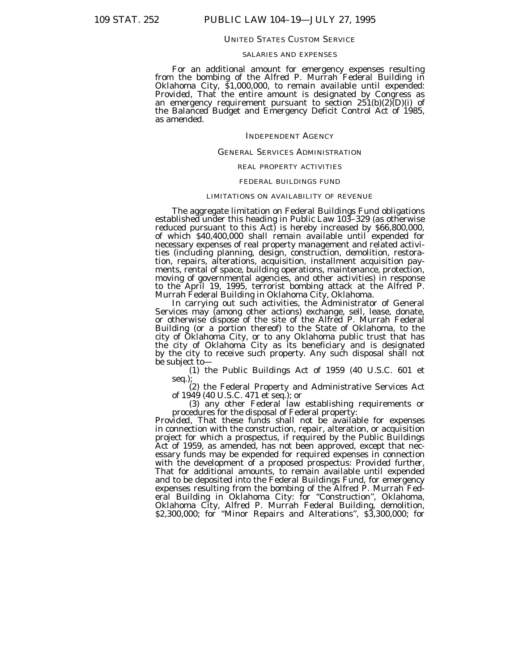#### UNITED STATES CUSTOM SERVICE

#### SALARIES AND EXPENSES

For an additional amount for emergency expenses resulting from the bombing of the Alfred P. Murrah Federal Building in Oklahoma City, \$1,000,000, to remain available until expended:<br>Provided, That the entire amount is designated by Congress as *Provided,* That the entire amount is designated by Congress as an emergency requirement pursuant to section 251(b)(2)(D)(i) of the Balanced Budget and Emergency Deficit Control Act of 1985, as amended.

#### INDEPENDENT AGENCY

### GENERAL SERVICES ADMINISTRATION

### REAL PROPERTY ACTIVITIES

#### FEDERAL BUILDINGS FUND

#### LIMITATIONS ON AVAILABILITY OF REVENUE

The aggregate limitation on Federal Buildings Fund obligations established under this heading in Public Law 103–329 (as otherwise reduced pursuant to this Act) is hereby increased by \$66,800,000, of which \$40,400,000 shall remain available until expended for necessary expenses of real property management and related activities (including planning, design, construction, demolition, restoration, repairs, alterations, acquisition, installment acquisition payments, rental of space, building operations, maintenance, protection, moving of governmental agencies, and other activities) in response to the April 19, 1995, terrorist bombing attack at the Alfred P.

Murrah Federal Building in Oklahoma City, Oklahoma.<br>In carrying out such activities, the Administrator of General or otherwise dispose of the site of the Alfred P. Murrah Federal Building (or a portion thereof) to the State of Oklahoma, to the city of Oklahoma City, or to any Oklahoma public trust that has the city of Oklahoma City as its beneficiary and is designated by the city to receive such property. Any such disposal shall not

(1) the Public Buildings Act of 1959 (40 U.S.C. 601 et seq.);<br>(2) the Federal Property and Administrative Services Act of 1949 (40 U.S.C. 471 et seq.); or (3) any other Federal law establishing requirements or procedures f

*Provided,* That these funds shall not be available for expenses in connection with the construction, repair, alteration, or acquisition project for which a prospectus, if required by the Public Buildings Act of 1959, as amended, has not been approved, except that necessary funds may be expended for required expenses in connection with the development of a proposed prospectus: *Provided further,* That for additional amounts, to remain available until expended and to be deposited into the Federal Buildings Fund, for emergency expenses resulting from the bombing of the Alfred P. Murrah Federal Building in Oklahoma City: for ''Construction'', Oklahoma, Oklahoma City, Alfred P. Murrah Federal Building, demolition, \$2,300,000; for ''Minor Repairs and Alterations'', \$3,300,000; for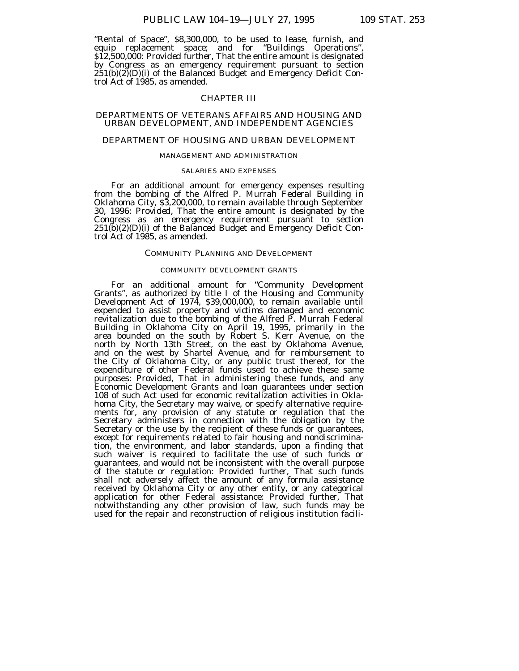"Rental of Space", \$8,300,000, to be used to lease, furnish, and equip replacement space; and for ''Buildings Operations'', \$12,500,000: *Provided further,* That the entire amount is designated by Congress as an emergency requirement pursuant to section  $251(b)(2)$ (D)(i) of the Balanced Budget and Emergency Deficit Control Act of 1985, as amended.

# CHAPTER III

# DEPARTMENTS OF VETERANS AFFAIRS AND HOUSING AND URBAN DEVELOPMENT, AND INDEPENDENT AGENCIES

# DEPARTMENT OF HOUSING AND URBAN DEVELOPMENT

#### MANAGEMENT AND ADMINISTRATION

# SALARIES AND EXPENSES

For an additional amount for emergency expenses resulting from the bombing of the Alfred P. Murrah Federal Building in Oklahoma City, \$3,200,000, to remain available through September 30, 1996: *Provided,* That the entire amount is designated by the Congress as an emergency requirement pursuant to section 251(b)(2)(D)(i) of the Balanced Budget and Emergency Deficit Control Act of 1985, as amended.

### COMMUNITY PLANNING AND DEVELOPMENT

#### COMMUNITY DEVELOPMENT GRANTS

For an additional amount for ''Community Development Grants", as authorized by title I of the Housing and Community Development Act of 1974, \$39,000,000, to remain available until expended to assist property and victims damaged and economic revitalization due to the bombing of the Alfred P. Murrah Federal Building in Oklahoma City on April 19, 1995, primarily in the area bounded on the south by Robert S. Kerr Avenue, on the north by North 13th Street, on the east by Oklahoma Avenue, and on the west by Shartel Avenue, and for reimbursement to the City of Oklahoma City, or any public trust thereof, for the expenditure of other Federal funds used to achieve these same purposes: *Provided,* That in administering these funds, and any Economic Development Grants and loan guarantees under section 108 of such Act used for economic revitalization activities in Oklahoma City, the Secretary may waive, or specify alternative requirements for, any provision of any statute or regulation that the Secretary administers in connection with the obligation by the Secretary or the use by the recipient of these funds or guarantees, except for requirements related to fair housing and nondiscrimination, the environment, and labor standards, upon a finding that such waiver is required to facilitate the use of such funds or guarantees, and would not be inconsistent with the overall purpose of the statute or regulation: *Provided further,* That such funds shall not adversely affect the amount of any formula assistance received by Oklahoma City or any other entity, or any categorical application for other Federal assistance: *Provided further,* That notwithstanding any other provision of law, such funds may be used for the repair and reconstruction of religious institution facili